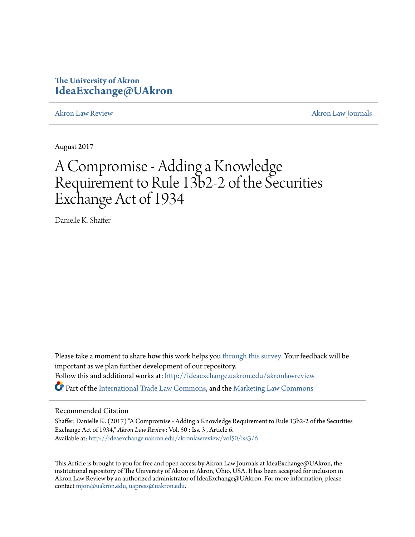## **The University of Akron [IdeaExchange@UAkron](http://ideaexchange.uakron.edu?utm_source=ideaexchange.uakron.edu%2Fakronlawreview%2Fvol50%2Fiss3%2F6&utm_medium=PDF&utm_campaign=PDFCoverPages)**

[Akron Law Review](http://ideaexchange.uakron.edu/akronlawreview?utm_source=ideaexchange.uakron.edu%2Fakronlawreview%2Fvol50%2Fiss3%2F6&utm_medium=PDF&utm_campaign=PDFCoverPages) [Akron Law Journals](http://ideaexchange.uakron.edu/akronlawjournals?utm_source=ideaexchange.uakron.edu%2Fakronlawreview%2Fvol50%2Fiss3%2F6&utm_medium=PDF&utm_campaign=PDFCoverPages)

August 2017

# A Compromise - Adding a Knowledge Requirement to Rule 13b2-2 of the Securities Exchange Act of 1934

Danielle K. Shaffer

Please take a moment to share how this work helps you [through this survey.](http://survey.az1.qualtrics.com/SE/?SID=SV_eEVH54oiCbOw05f&URL=http://ideaexchange.uakron.edu/akronlawreview/vol50/iss3/6) Your feedback will be important as we plan further development of our repository. Follow this and additional works at: [http://ideaexchange.uakron.edu/akronlawreview](http://ideaexchange.uakron.edu/akronlawreview?utm_source=ideaexchange.uakron.edu%2Fakronlawreview%2Fvol50%2Fiss3%2F6&utm_medium=PDF&utm_campaign=PDFCoverPages) Part of the [International Trade Law Commons,](http://network.bepress.com/hgg/discipline/848?utm_source=ideaexchange.uakron.edu%2Fakronlawreview%2Fvol50%2Fiss3%2F6&utm_medium=PDF&utm_campaign=PDFCoverPages) and the [Marketing Law Commons](http://network.bepress.com/hgg/discipline/1045?utm_source=ideaexchange.uakron.edu%2Fakronlawreview%2Fvol50%2Fiss3%2F6&utm_medium=PDF&utm_campaign=PDFCoverPages)

## Recommended Citation

Shaffer, Danielle K. (2017) "A Compromise - Adding a Knowledge Requirement to Rule 13b2-2 of the Securities Exchange Act of 1934," *Akron Law Review*: Vol. 50 : Iss. 3 , Article 6. Available at: [http://ideaexchange.uakron.edu/akronlawreview/vol50/iss3/6](http://ideaexchange.uakron.edu/akronlawreview/vol50/iss3/6?utm_source=ideaexchange.uakron.edu%2Fakronlawreview%2Fvol50%2Fiss3%2F6&utm_medium=PDF&utm_campaign=PDFCoverPages)

This Article is brought to you for free and open access by Akron Law Journals at IdeaExchange@UAkron, the institutional repository of The University of Akron in Akron, Ohio, USA. It has been accepted for inclusion in Akron Law Review by an authorized administrator of IdeaExchange@UAkron. For more information, please contact [mjon@uakron.edu, uapress@uakron.edu.](mailto:mjon@uakron.edu,%20uapress@uakron.edu)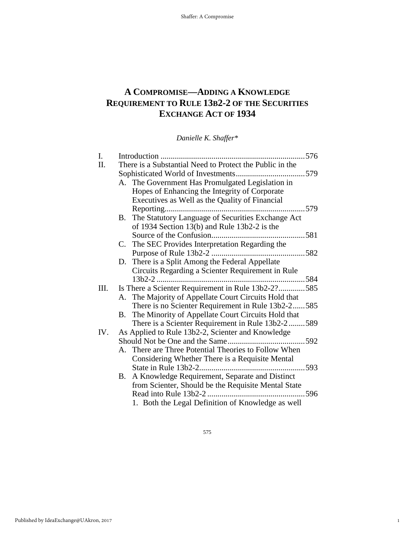# **A COMPROMISE—ADDING A KNOWLEDGE REQUIREMENT TO RULE 13B2-2 OF THE SECURITIES EXCHANGE ACT OF 1934**

*Danielle K. Shaffer\**

| I.   |                                                          | Introduction                                          | .576        |
|------|----------------------------------------------------------|-------------------------------------------------------|-------------|
| II.  | There is a Substantial Need to Protect the Public in the |                                                       |             |
|      |                                                          |                                                       |             |
|      |                                                          | A. The Government Has Promulgated Legislation in      |             |
|      |                                                          | Hopes of Enhancing the Integrity of Corporate         |             |
|      |                                                          | Executives as Well as the Quality of Financial        |             |
|      |                                                          | Reporting                                             | .579        |
|      | B.                                                       | The Statutory Language of Securities Exchange Act     |             |
|      |                                                          | of 1934 Section 13(b) and Rule 13b2-2 is the          |             |
|      |                                                          |                                                       |             |
|      |                                                          | C. The SEC Provides Interpretation Regarding the      |             |
|      |                                                          |                                                       |             |
|      |                                                          | D. There is a Split Among the Federal Appellate       |             |
|      |                                                          | Circuits Regarding a Scienter Requirement in Rule     |             |
|      |                                                          | $13b2-2$                                              | 584         |
| III. |                                                          | Is There a Scienter Requirement in Rule 13b2-2?585    |             |
|      |                                                          | A. The Majority of Appellate Court Circuits Hold that |             |
|      |                                                          | There is no Scienter Requirement in Rule 13b2-2585    |             |
|      | В.                                                       | The Minority of Appellate Court Circuits Hold that    |             |
|      |                                                          | There is a Scienter Requirement in Rule 13b2-2589     |             |
| IV.  |                                                          | As Applied to Rule 13b2-2, Scienter and Knowledge     |             |
|      |                                                          |                                                       | $\dots 592$ |
|      |                                                          | A. There are Three Potential Theories to Follow When  |             |
|      |                                                          | Considering Whether There is a Requisite Mental       | .593        |
|      |                                                          |                                                       |             |
|      | В.                                                       | A Knowledge Requirement, Separate and Distinct        |             |
|      |                                                          | from Scienter, Should be the Requisite Mental State   |             |
|      |                                                          | Read into Rule 13b2-2                                 | 596         |
|      |                                                          | 1. Both the Legal Definition of Knowledge as well     |             |

575

1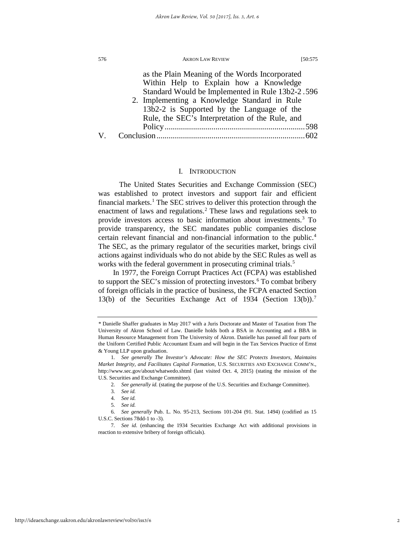|    | as the Plain Meaning of the Words Incorporated<br>Within Help to Explain how a Knowledge<br>Standard Would be Implemented in Rule 13b2-2.596 |  |
|----|----------------------------------------------------------------------------------------------------------------------------------------------|--|
|    | 2. Implementing a Knowledge Standard in Rule<br>13b2-2 is Supported by the Language of the                                                   |  |
|    | Rule, the SEC's Interpretation of the Rule, and                                                                                              |  |
| V. |                                                                                                                                              |  |

## I. INTRODUCTION

The United States Securities and Exchange Commission (SEC) was established to protect investors and support fair and efficient financial markets.<sup>1</sup> The SEC strives to deliver this protection through the enactment of laws and regulations.<sup>[2](#page-2-1)</sup> These laws and regulations seek to provide investors access to basic information about investments.<sup>[3](#page-2-2)</sup> To provide transparency, the SEC mandates public companies disclose certain relevant financial and non-financial information to the public.<sup>4</sup> The SEC, as the primary regulator of the securities market, brings civil actions against individuals who do not abide by the SEC Rules as well as works with the federal government in prosecuting criminal trials.<sup>[5](#page-2-4)</sup>

In 1977, the Foreign Corrupt Practices Act (FCPA) was established to support the SEC's mission of protecting investors.<sup>[6](#page-2-5)</sup> To combat bribery of foreign officials in the practice of business, the FCPA enacted Section 13(b) of the Securities Exchange Act of 1934 (Section 13(b)).<sup>7</sup>

<span id="page-2-0"></span>*<sup>\*</sup>* Danielle Shaffer graduates in May 2017 with a Juris Doctorate and Master of Taxation from The University of Akron School of Law. Danielle holds both a BSA in Accounting and a BBA in Human Resource Management from The University of Akron. Danielle has passed all four parts of the Uniform Certified Public Accountant Exam and will begin in the Tax Services Practice of Ernst & Young LLP upon graduation.

<span id="page-2-1"></span><sup>1</sup>*. See generally The Investor's Advocate: How the SEC Protects Investors, Maintains Market Integrity, and Facilitates Capital Formation*, U.S. SECURITIES AND EXCHANGE COMM'N., http://www.sec.gov/about/whatwedo.shtml (last visited Oct. 4, 2015) (stating the mission of the U.S. Securities and Exchange Committee).

<sup>2</sup>*. See generally id.* (stating the purpose of the U.S. Securities and Exchange Committee).

<sup>3</sup>*. See id.*

<sup>4</sup>*. See id.*

<sup>5</sup>*. See id.*

<span id="page-2-4"></span><span id="page-2-3"></span><span id="page-2-2"></span><sup>6</sup>*. See generally* Pub. L. No. 95-213, Sections 101-204 (91. Stat. 1494) (codified as 15 U.S.C. Sections 78dd-1 to -3).

<span id="page-2-6"></span><span id="page-2-5"></span><sup>7</sup>*. See id*. (enhancing the 1934 Securities Exchange Act with additional provisions in reaction to extensive bribery of foreign officials).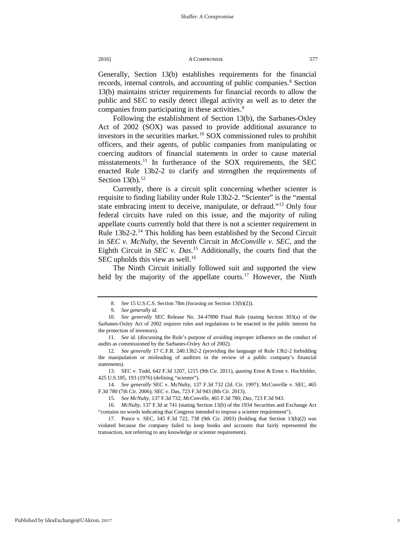Generally, Section 13(b) establishes requirements for the financial records, internal controls, and accounting of public companies.<sup>[8](#page-3-0)</sup> Section 13(b) maintains stricter requirements for financial records to allow the public and SEC to easily detect illegal activity as well as to deter the companies from participating in these activities.<sup>[9](#page-3-1)</sup>

Following the establishment of Section 13(b), the Sarbanes-Oxley Act of 2002 (SOX) was passed to provide additional assurance to investors in the securities market.<sup>[10](#page-3-2)</sup> SOX commissioned rules to prohibit officers, and their agents, of public companies from manipulating or coercing auditors of financial statements in order to cause material misstatements.<sup>[11](#page-3-3)</sup> In furtherance of the SOX requirements, the SEC enacted Rule 13b2-2 to clarify and strengthen the requirements of Section  $13(b)$ .<sup>[12](#page-3-4)</sup>

Currently, there is a circuit split concerning whether scienter is requisite to finding liability under Rule 13b2-2. "Scienter" is the "mental state embracing intent to deceive, manipulate, or defraud."[13](#page-3-5) Only four federal circuits have ruled on this issue, and the majority of ruling appellate courts currently hold that there is not a scienter requirement in Rule 13b2-2.[14](#page-3-6) This holding has been established by the Second Circuit in *SEC v. McNulty*, the Seventh Circuit in *McConville v. SEC*, and the Eighth Circuit in *SEC v. Das*. [15](#page-3-7) Additionally, the courts find that the SEC upholds this view as well.<sup>16</sup>

The Ninth Circuit initially followed suit and supported the view held by the majority of the appellate courts.<sup>[17](#page-3-9)</sup> However, the Ninth

<sup>8</sup>*. See* 15 U.S.C.S. Section 78m (focusing on Section 13(b)(2)).

<sup>9</sup>*. See generally id.*

<span id="page-3-2"></span><span id="page-3-1"></span><span id="page-3-0"></span><sup>10</sup>*. See generally* SEC Release No. 34-47890 Final Rule (stating Section 303(a) of the Sarbanes-Oxley Act of 2002 requires rules and regulations to be enacted in the public interest for the protection of investors).

<span id="page-3-3"></span><sup>11</sup>*. See id*. (discussing the Rule's purpose of avoiding improper influence on the conduct of audits as commissioned by the Sarbanes-Oxley Act of 2002).

<span id="page-3-4"></span><sup>12</sup>*. See generally* 17 C.F.R. 240.13b2-2 (providing the language of Rule 13b2-2 forbidding the manipulation or misleading of auditors in the review of a public company's financial statements).

<span id="page-3-5"></span><sup>13.</sup> SEC v. Todd, 642 F.3d 1207, 1215 (9th Cir. 2011), *quoting* Ernst & Ernst v. Hochfelder, 425 U.S.185, 193 (1976) (defining "scienter").

<span id="page-3-6"></span><sup>14</sup>*. See generally* SEC v. McNulty, 137 F.3d 732 (2d. Cir. 1997); McConville v. SEC, 465 F.3d 780 (7th Cir. 2006); SEC v. Das, 723 F.3d 943 (8th Cir. 2013).

<sup>15</sup>*. See McNulty*, 137 F.3d 732; *McConville*, 465 F.3d 780; *Das*, 723 F.3d 943.

<span id="page-3-8"></span><span id="page-3-7"></span><sup>16</sup>*. McNulty*, 137 F.3d at 741 (stating Section 13(b) of the 1934 Securities and Exchange Act "contains no words indicating that Congress intended to impose a scienter requirement").

<span id="page-3-9"></span><sup>17.</sup> Ponce v. SEC, 345 F.3d 722, 738 (9th Cir. 2003) (holding that Section 13(b)(2) was violated because the company failed to keep books and accounts that fairly represented the transaction, not referring to any knowledge or scienter requirement).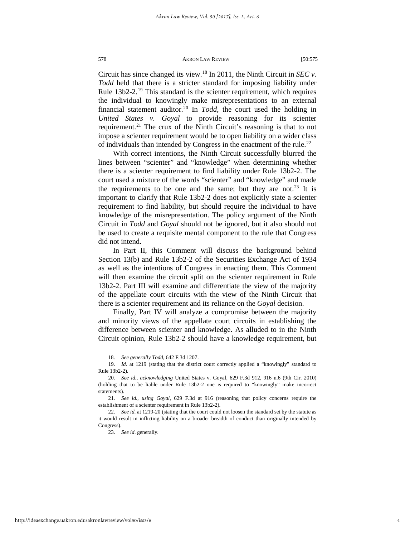Circuit has since changed its view.[18](#page-4-0) In 2011, the Ninth Circuit in *SEC v. Todd* held that there is a stricter standard for imposing liability under Rule 13b2-2.<sup>[19](#page-4-1)</sup> This standard is the scienter requirement, which requires the individual to knowingly make misrepresentations to an external financial statement auditor.[20](#page-4-2) In *Todd*, the court used the holding in *United States v. Goyal* to provide reasoning for its scienter requirement.<sup>21</sup> The crux of the Ninth Circuit's reasoning is that to not impose a scienter requirement would be to open liability on a wider class of individuals than intended by Congress in the enactment of the rule.<sup>[22](#page-4-4)</sup>

With correct intentions, the Ninth Circuit successfully blurred the lines between "scienter" and "knowledge" when determining whether there is a scienter requirement to find liability under Rule 13b2-2. The court used a mixture of the words "scienter" and "knowledge" and made the requirements to be one and the same; but they are not.<sup>[23](#page-4-5)</sup> It is important to clarify that Rule 13b2-2 does not explicitly state a scienter requirement to find liability, but should require the individual to have knowledge of the misrepresentation. The policy argument of the Ninth Circuit in *Todd* and *Goyal* should not be ignored, but it also should not be used to create a requisite mental component to the rule that Congress did not intend.

In Part II, this Comment will discuss the background behind Section 13(b) and Rule 13b2-2 of the Securities Exchange Act of 1934 as well as the intentions of Congress in enacting them. This Comment will then examine the circuit split on the scienter requirement in Rule 13b2-2. Part III will examine and differentiate the view of the majority of the appellate court circuits with the view of the Ninth Circuit that there is a scienter requirement and its reliance on the *Goyal* decision.

Finally, Part IV will analyze a compromise between the majority and minority views of the appellate court circuits in establishing the difference between scienter and knowledge. As alluded to in the Ninth Circuit opinion, Rule 13b2-2 should have a knowledge requirement, but

23. *See id*. generally.

<sup>18</sup>*. See generally Todd*, 642 F.3d 1207.

<span id="page-4-1"></span><span id="page-4-0"></span><sup>19.</sup> *Id*. at 1219 (stating that the district court correctly applied a "knowingly" standard to Rule 13b2-2).

<span id="page-4-2"></span><sup>20</sup>*. See id.*, *acknowledging* United States v. Goyal, 629 F.3d 912, 916 n.6 (9th Cir. 2010) (holding that to be liable under Rule 13b2-2 one is required to "knowingly" make incorrect statements).

<span id="page-4-3"></span><sup>21</sup>*. See id.*, *using Goyal*, 629 F.3d at 916 (reasoning that policy concerns require the establishment of a scienter requirement in Rule 13b2-2).

<span id="page-4-5"></span><span id="page-4-4"></span><sup>22</sup>*. See id*. at 1219-20 (stating that the court could not loosen the standard set by the statute as it would result in inflicting liability on a broader breadth of conduct than originally intended by Congress).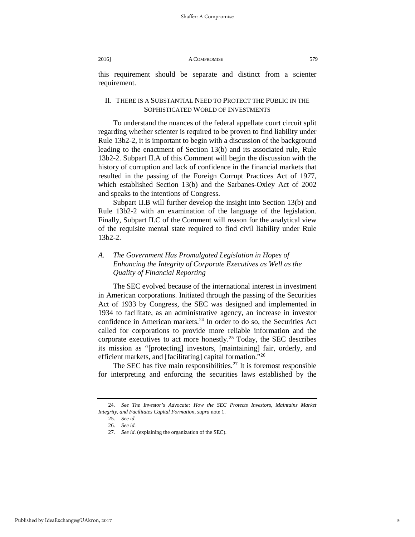this requirement should be separate and distinct from a scienter requirement.

## II. THERE IS A SUBSTANTIAL NEED TO PROTECT THE PUBLIC IN THE SOPHISTICATED WORLD OF INVESTMENTS

To understand the nuances of the federal appellate court circuit split regarding whether scienter is required to be proven to find liability under Rule 13b2-2, it is important to begin with a discussion of the background leading to the enactment of Section 13(b) and its associated rule, Rule 13b2-2. Subpart II.A of this Comment will begin the discussion with the history of corruption and lack of confidence in the financial markets that resulted in the passing of the Foreign Corrupt Practices Act of 1977, which established Section 13(b) and the Sarbanes-Oxley Act of 2002 and speaks to the intentions of Congress.

Subpart II.B will further develop the insight into Section 13(b) and Rule 13b2-2 with an examination of the language of the legislation. Finally, Subpart II.C of the Comment will reason for the analytical view of the requisite mental state required to find civil liability under Rule 13b2-2.

## *A. The Government Has Promulgated Legislation in Hopes of Enhancing the Integrity of Corporate Executives as Well as the Quality of Financial Reporting*

The SEC evolved because of the international interest in investment in American corporations. Initiated through the passing of the Securities Act of 1933 by Congress, the SEC was designed and implemented in 1934 to facilitate, as an administrative agency, an increase in investor confidence in American markets. $24$  In order to do so, the Securities Act called for corporations to provide more reliable information and the corporate executives to act more honestly.<sup>[25](#page-5-1)</sup> Today, the SEC describes its mission as "[protecting] investors, [maintaining] fair, orderly, and efficient markets, and [facilitating] capital formation."[26](#page-5-2)

The SEC has five main responsibilities.<sup>[27](#page-5-3)</sup> It is foremost responsible for interpreting and enforcing the securities laws established by the

<span id="page-5-3"></span><span id="page-5-2"></span><span id="page-5-1"></span><span id="page-5-0"></span><sup>24</sup>*. See The Investor's Advocate: How the SEC Protects Investors, Maintains Market Integrity, and Facilitates Capital Formation*, *supra* note 1.

<sup>25</sup>*. See id*.

<sup>26</sup>*. See id*.

<sup>27</sup>*. See id*. (explaining the organization of the SEC).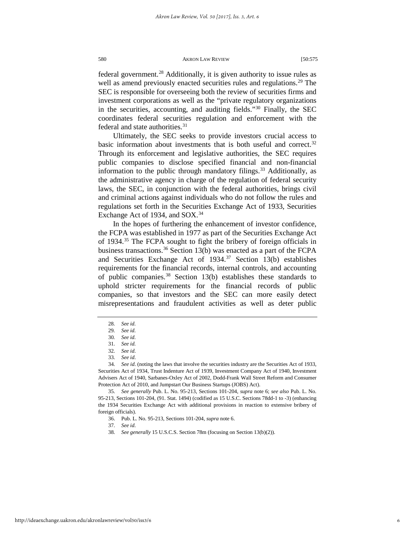federal government.<sup>28</sup> Additionally, it is given authority to issue rules as well as amend previously enacted securities rules and regulations.<sup>[29](#page-6-1)</sup> The SEC is responsible for overseeing both the review of securities firms and investment corporations as well as the "private regulatory organizations in the securities, accounting, and auditing fields."[30](#page-6-2) Finally, the SEC coordinates federal securities regulation and enforcement with the federal and state authorities.<sup>[31](#page-6-3)</sup>

Ultimately, the SEC seeks to provide investors crucial access to basic information about investments that is both useful and correct.<sup>[32](#page-6-4)</sup> Through its enforcement and legislative authorities, the SEC requires public companies to disclose specified financial and non-financial information to the public through mandatory filings.<sup>[33](#page-6-5)</sup> Additionally, as the administrative agency in charge of the regulation of federal security laws, the SEC, in conjunction with the federal authorities, brings civil and criminal actions against individuals who do not follow the rules and regulations set forth in the Securities Exchange Act of 1933, Securities Exchange Act of 19[34](#page-6-6), and SOX.<sup>34</sup>

In the hopes of furthering the enhancement of investor confidence, the FCPA was established in 1977 as part of the Securities Exchange Act of 1934.<sup>[35](#page-6-7)</sup> The FCPA sought to fight the bribery of foreign officials in business transactions.<sup>[36](#page-6-8)</sup> Section 13(b) was enacted as a part of the FCPA and Securities Exchange Act of  $1934$ .<sup>[37](#page-6-9)</sup> Section 13(b) establishes requirements for the financial records, internal controls, and accounting of public companies.[38](#page-6-10) Section 13(b) establishes these standards to uphold stricter requirements for the financial records of public companies, so that investors and the SEC can more easily detect misrepresentations and fraudulent activities as well as deter public

<sup>28</sup>*. See id*.

<span id="page-6-0"></span><sup>29</sup>*. See id*.

<sup>30</sup>*. See id*.

<sup>31</sup>*. See id*.

<sup>32</sup>*. See id*.

<sup>33</sup>*. See id*.

<span id="page-6-6"></span><span id="page-6-5"></span><span id="page-6-4"></span><span id="page-6-3"></span><span id="page-6-2"></span><span id="page-6-1"></span><sup>34</sup>*. See id*. (noting the laws that involve the securities industry are the Securities Act of 1933, Securities Act of 1934, Trust Indenture Act of 1939, Investment Company Act of 1940, Investment Advisers Act of 1940, Sarbanes-Oxley Act of 2002, Dodd-Frank Wall Street Reform and Consumer Protection Act of 2010, and Jumpstart Our Business Startups (JOBS) Act).

<span id="page-6-10"></span><span id="page-6-9"></span><span id="page-6-8"></span><span id="page-6-7"></span><sup>35</sup>*. See generally* Pub. L. No. 95-213, Sections 101-204, *supra* note 6; *see also* Pub. L. No. 95-213, Sections 101-204, (91. Stat. 1494) (codified as 15 U.S.C. Sections 78dd-1 to -3) (enhancing the 1934 Securities Exchange Act with additional provisions in reaction to extensive bribery of foreign officials).

<sup>36.</sup> Pub. L. No. 95-213, Sections 101-204, *supra* note 6.

<sup>37</sup>*. See id*.

<sup>38</sup>*. See generally* 15 U.S.C.S. Section 78m (focusing on Section 13(b)(2)).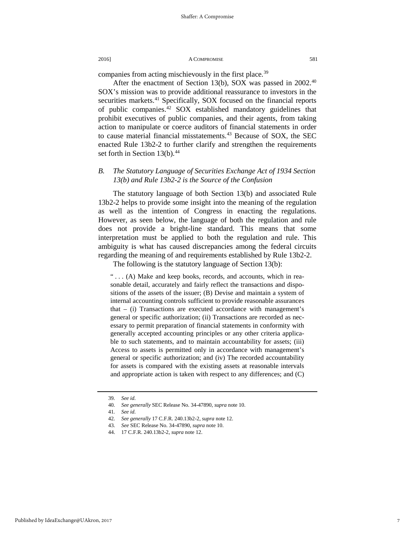companies from acting mischievously in the first place.<sup>[39](#page-7-0)</sup>

After the enactment of Section 13(b), SOX was passed in  $2002^{40}$  $2002^{40}$  $2002^{40}$ SOX's mission was to provide additional reassurance to investors in the securities markets.<sup>41</sup> Specifically, SOX focused on the financial reports of public companies.[42](#page-7-3) SOX established mandatory guidelines that prohibit executives of public companies, and their agents, from taking action to manipulate or coerce auditors of financial statements in order to cause material financial misstatements.<sup>[43](#page-7-4)</sup> Because of SOX, the SEC enacted Rule 13b2-2 to further clarify and strengthen the requirements set forth in Section 13(b).<sup>[44](#page-7-5)</sup>

## *B. The Statutory Language of Securities Exchange Act of 1934 Section 13(b) and Rule 13b2-2 is the Source of the Confusion*

The statutory language of both Section 13(b) and associated Rule 13b2-2 helps to provide some insight into the meaning of the regulation as well as the intention of Congress in enacting the regulations. However, as seen below, the language of both the regulation and rule does not provide a bright-line standard. This means that some interpretation must be applied to both the regulation and rule. This ambiguity is what has caused discrepancies among the federal circuits regarding the meaning of and requirements established by Rule 13b2-2.

The following is the statutory language of Section 13(b):

"... (A) Make and keep books, records, and accounts, which in reasonable detail, accurately and fairly reflect the transactions and dispositions of the assets of the issuer; (B) Devise and maintain a system of internal accounting controls sufficient to provide reasonable assurances that – (i) Transactions are executed accordance with management's general or specific authorization; (ii) Transactions are recorded as necessary to permit preparation of financial statements in conformity with generally accepted accounting principles or any other criteria applicable to such statements, and to maintain accountability for assets; (iii) Access to assets is permitted only in accordance with management's general or specific authorization; and (iv) The recorded accountability for assets is compared with the existing assets at reasonable intervals and appropriate action is taken with respect to any differences; and (C)

<sup>39</sup>*. See id*.

<span id="page-7-3"></span><span id="page-7-2"></span><span id="page-7-1"></span><span id="page-7-0"></span><sup>40</sup>*. See generally* SEC Release No. 34-47890, *supra* note 10.

<sup>41</sup>*. See id*.

<sup>42</sup>*. See generally* 17 C.F.R. 240.13b2-2, *supra* note 12.

<span id="page-7-4"></span><sup>43</sup>*. See* SEC Release No. 34-47890, *supra* note 10.

<span id="page-7-5"></span><sup>44.</sup> 17 C.F.R. 240.13b2-2, *supra* note 12.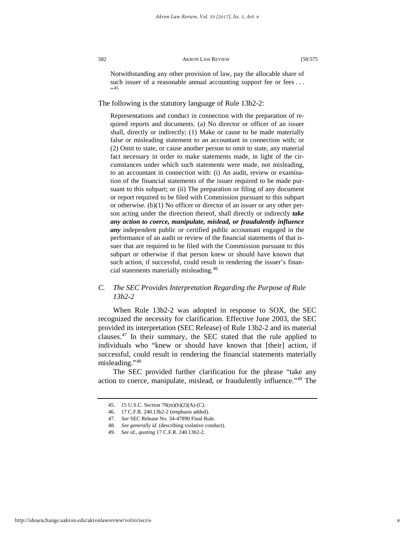Notwithstanding any other provision of law, pay the allocable share of such issuer of a reasonable annual accounting support fee or fees ...  $(45)$  $(45)$  $(45)$ 

The following is the statutory language of Rule 13b2-2:

Representations and conduct in connection with the preparation of required reports and documents. (a) No director or officer of an issuer shall, directly or indirectly; (1) Make or cause to be made materially false or misleading statement to an accountant in connection with; or (2) Omit to state, or cause another person to omit to state, any material fact necessary in order to make statements made, in light of the circumstances under which such statements were made, not misleading, to an accountant in connection with: (i) An audit, review or examination of the financial statements of the issuer required to be made pursuant to this subpart; or (ii) The preparation or filing of any document or report required to be filed with Commission pursuant to this subpart or otherwise. (b)(1) No officer or director of an issuer or any other person acting under the direction thereof, shall directly or indirectly *take any action to coerce, manipulate, mislead, or fraudulently influence any* independent public or certified public accountant engaged in the performance of an audit or review of the financial statements of that issuer that are required to be filed with the Commission pursuant to this subpart or otherwise if that person knew or should have known that such action, if successful, could result in rendering the issuer's financial statements materially misleading.[46](#page-8-1)

## *C. The SEC Provides Interpretation Regarding the Purpose of Rule 13b2-2*

When Rule 13b2-2 was adopted in response to SOX, the SEC recognized the necessity for clarification. Effective June 2003, the SEC provided its interpretation (SEC Release) of Rule 13b2-2 and its material clauses.[47](#page-8-2) In their summary, the SEC stated that the rule applied to individuals who "knew or should have known that [their] action, if successful, could result in rendering the financial statements materially misleading."[48](#page-8-3)

<span id="page-8-1"></span><span id="page-8-0"></span>The SEC provided further clarification for the phrase "take any action to coerce, manipulate, mislead, or fraudulently influence."[49](#page-8-4) The

<span id="page-8-4"></span><span id="page-8-3"></span><span id="page-8-2"></span>http://ideaexchange.uakron.edu/akronlawreview/vol50/iss3/6

<sup>45.</sup> 15 U.S.C. Section 78(m)(b)(2)(A)-(C).

<sup>46.</sup> 17 C.F.R. 240.13b2-2 (emphasis added).

<sup>47</sup>*. See* SEC Release No. 34-47890 Final Rule.

<sup>48</sup>*. See generally id.* (describing violative conduct).

<sup>49</sup>*. See id.*, *quoting* 17 C.F.R. 240.13b2-2.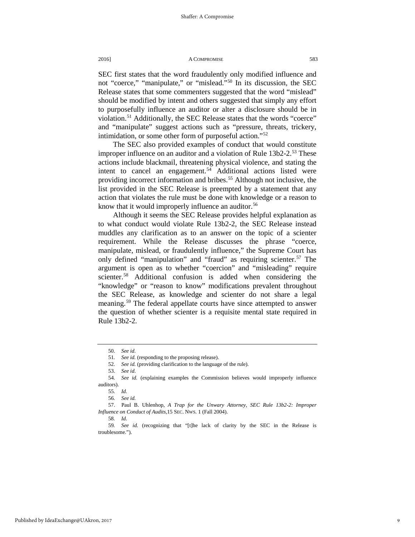SEC first states that the word fraudulently only modified influence and not "coerce," "manipulate," or "mislead."[50](#page-9-0) In its discussion, the SEC Release states that some commenters suggested that the word "mislead" should be modified by intent and others suggested that simply any effort to purposefully influence an auditor or alter a disclosure should be in violation.<sup>[51](#page-9-1)</sup> Additionally, the SEC Release states that the words "coerce" and "manipulate" suggest actions such as "pressure, threats, trickery, intimidation, or some other form of purposeful action."<sup>[52](#page-9-2)</sup>

The SEC also provided examples of conduct that would constitute improper influence on an auditor and a violation of Rule 13b2-2.<sup>[53](#page-9-3)</sup> These actions include blackmail, threatening physical violence, and stating the intent to cancel an engagement.<sup>[54](#page-9-4)</sup> Additional actions listed were providing incorrect information and bribes.<sup>[55](#page-9-5)</sup> Although not inclusive, the list provided in the SEC Release is preempted by a statement that any action that violates the rule must be done with knowledge or a reason to know that it would improperly influence an auditor.<sup>[56](#page-9-6)</sup>

Although it seems the SEC Release provides helpful explanation as to what conduct would violate Rule 13b2-2, the SEC Release instead muddles any clarification as to an answer on the topic of a scienter requirement. While the Release discusses the phrase "coerce, manipulate, mislead, or fraudulently influence," the Supreme Court has only defined "manipulation" and "fraud" as requiring scienter.<sup>[57](#page-9-7)</sup> The argument is open as to whether "coercion" and "misleading" require scienter.<sup>58</sup> Additional confusion is added when considering the "knowledge" or "reason to know" modifications prevalent throughout the SEC Release, as knowledge and scienter do not share a legal meaning.<sup>[59](#page-9-9)</sup> The federal appellate courts have since attempted to answer the question of whether scienter is a requisite mental state required in Rule 13b2-2.

<sup>50.</sup> *See id*.

<sup>51.</sup> *See id.* (responding to the proposing release).<br>52. *See id.* (providing clarification to the languag

<sup>52</sup>*. See id.* (providing clarification to the language of the rule).

<sup>53.</sup> *See id*.

<span id="page-9-5"></span><span id="page-9-4"></span><span id="page-9-3"></span><span id="page-9-2"></span><span id="page-9-1"></span><span id="page-9-0"></span><sup>54</sup>*. See id.* (explaining examples the Commission believes would improperly influence auditors).

<sup>55</sup>*. Id.*

<sup>56</sup>*. See id.* 

<span id="page-9-7"></span><span id="page-9-6"></span><sup>57.</sup> Paul B. Uhlenhop, *A Trap for the Unwary Attorney, SEC Rule 13b2-2: Improper Influence on Conduct of Audits*,15 SEC. NWS. 1 (Fall 2004).

<sup>58</sup>*. Id.*

<span id="page-9-9"></span><span id="page-9-8"></span><sup>59</sup>*. See id.* (recognizing that "[t]he lack of clarity by the SEC in the Release is troublesome.").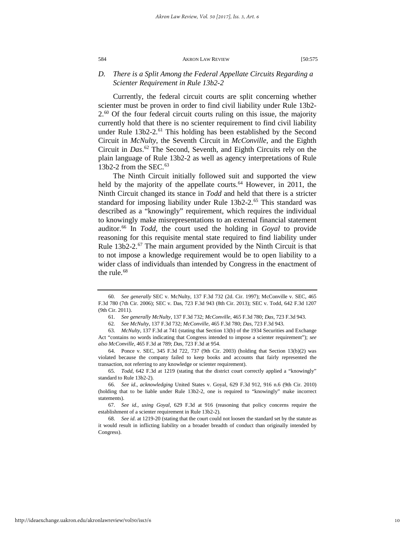## *D. There is a Split Among the Federal Appellate Circuits Regarding a Scienter Requirement in Rule 13b2-2*

Currently, the federal circuit courts are split concerning whether scienter must be proven in order to find civil liability under Rule 13b2-  $2<sup>60</sup>$  $2<sup>60</sup>$  $2<sup>60</sup>$  Of the four federal circuit courts ruling on this issue, the majority currently hold that there is no scienter requirement to find civil liability under Rule 13b2-2.<sup>[61](#page-10-1)</sup> This holding has been established by the Second Circuit in *McNulty*, the Seventh Circuit in *McConville*, and the Eighth Circuit in *Das*. [62](#page-10-2) The Second, Seventh, and Eighth Circuits rely on the plain language of Rule 13b2-2 as well as agency interpretations of Rule 13b2-2 from the SEC. $63$ 

The Ninth Circuit initially followed suit and supported the view held by the majority of the appellate courts.<sup>[64](#page-10-4)</sup> However, in 2011, the Ninth Circuit changed its stance in *Todd* and held that there is a stricter standard for imposing liability under Rule 13b2-2.<sup>[65](#page-10-5)</sup> This standard was described as a "knowingly" requirement, which requires the individual to knowingly make misrepresentations to an external financial statement auditor[.66](#page-10-6) In *Todd*, the court used the holding in *Goyal* to provide reasoning for this requisite mental state required to find liability under Rule 13b2-2.<sup>[67](#page-10-7)</sup> The main argument provided by the Ninth Circuit is that to not impose a knowledge requirement would be to open liability to a wider class of individuals than intended by Congress in the enactment of the rule.<sup>[68](#page-10-8)</sup>

<span id="page-10-0"></span><sup>60</sup>*. See generally* SEC v. McNulty, 137 F.3d 732 (2d. Cir. 1997); McConville v. SEC, 465 F.3d 780 (7th Cir. 2006); SEC v. Das, 723 F.3d 943 (8th Cir. 2013); SEC v. Todd, 642 F.3d 1207 (9th Cir. 2011).

<sup>61</sup>*. See generally McNulty*, 137 F.3d 732; *McConville*, 465 F.3d 780; *Das*, 723 F.3d 943.

<sup>62</sup>*. See McNulty*, 137 F.3d 732; *McConville*, 465 F.3d 780; *Das*, 723 F.3d 943.

<span id="page-10-3"></span><span id="page-10-2"></span><span id="page-10-1"></span><sup>63</sup>*. McNulty*, 137 F.3d at 741 (stating that Section 13(b) of the 1934 Securities and Exchange Act "contains no words indicating that Congress intended to impose a scienter requirement"); *see also McConville*, 465 F.3d at 789; *Das*, 723 F.3d at 954.

<span id="page-10-4"></span><sup>64.</sup> Ponce v. SEC, 345 F.3d 722, 737 (9th Cir. 2003) (holding that Section 13(b)(2) was violated because the company failed to keep books and accounts that fairly represented the transaction, not referring to any knowledge or scienter requirement).

<span id="page-10-5"></span><sup>65</sup>*. Todd*, 642 F.3d at 1219 (stating that the district court correctly applied a "knowingly" standard to Rule 13b2-2).

<span id="page-10-6"></span><sup>66</sup>*. See id.*, *acknowledging* United States v. Goyal, 629 F.3d 912, 916 n.6 (9th Cir. 2010) (holding that to be liable under Rule 13b2-2, one is required to "knowingly" make incorrect statements).

<span id="page-10-7"></span><sup>67</sup>*. See id.*, *using Goyal*, 629 F.3d at 916 (reasoning that policy concerns require the establishment of a scienter requirement in Rule 13b2-2).

<span id="page-10-8"></span><sup>68</sup>*. See id*. at 1219-20 (stating that the court could not loosen the standard set by the statute as it would result in inflicting liability on a broader breadth of conduct than originally intended by Congress).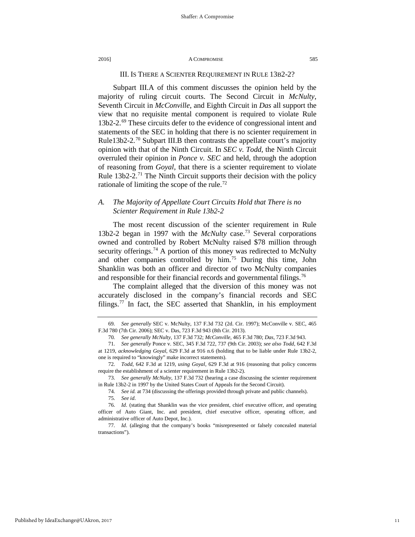## III. IS THERE A SCIENTER REQUIREMENT IN RULE 13B2-2?

Subpart III.A of this comment discusses the opinion held by the majority of ruling circuit courts. The Second Circuit in *McNulty*, Seventh Circuit in *McConville*, and Eighth Circuit in *Das* all support the view that no requisite mental component is required to violate Rule 13b2-2.[69](#page-11-0) These circuits defer to the evidence of congressional intent and statements of the SEC in holding that there is no scienter requirement in Rule13b2-2.<sup>[70](#page-11-1)</sup> Subpart III.B then contrasts the appellate court's majority opinion with that of the Ninth Circuit. In *SEC v. Todd,* the Ninth Circuit overruled their opinion in *Ponce v. SEC* and held, through the adoption of reasoning from *Goyal*, that there is a scienter requirement to violate Rule  $13b2-2$ .<sup>[71](#page-11-2)</sup> The Ninth Circuit supports their decision with the policy rationale of limiting the scope of the rule.<sup>[72](#page-11-3)</sup>

## *A. The Majority of Appellate Court Circuits Hold that There is no Scienter Requirement in Rule 13b2-2*

The most recent discussion of the scienter requirement in Rule 13b2-2 began in 1997 with the *McNulty* case.[73](#page-11-4) Several corporations owned and controlled by Robert McNulty raised \$78 million through security offerings.<sup>[74](#page-11-5)</sup> A portion of this money was redirected to McNulty and other companies controlled by him.<sup>[75](#page-11-6)</sup> During this time, John Shanklin was both an officer and director of two McNulty companies and responsible for their financial records and governmental filings.<sup>[76](#page-11-7)</sup>

The complaint alleged that the diversion of this money was not accurately disclosed in the company's financial records and SEC filings.[77](#page-11-8) In fact, the SEC asserted that Shanklin, in his employment

<span id="page-11-0"></span><sup>69</sup>*. See generally* SEC v. McNulty, 137 F.3d 732 (2d. Cir. 1997); McConville v. SEC, 465 F.3d 780 (7th Cir. 2006); SEC v. Das, 723 F.3d 943 (8th Cir. 2013).

<sup>70</sup>*. See generally McNulty*, 137 F.3d 732; *McConville*, 465 F.3d 780; *Das*, 723 F.3d 943.

<span id="page-11-2"></span><span id="page-11-1"></span><sup>71</sup>*. See generally* Ponce v. SEC, 345 F.3d 722, 737 (9th Cir. 2003); *see also Todd*, 642 F.3d at 1219, *acknowledging Goyal*, 629 F.3d at 916 n.6 (holding that to be liable under Rule 13b2-2, one is required to "knowingly" make incorrect statements).

<span id="page-11-3"></span><sup>72</sup>*. Todd*, 642 F.3d at 1219, *using Goyal*, 629 F.3d at 916 (reasoning that policy concerns require the establishment of a scienter requirement in Rule 13b2-2).

<span id="page-11-5"></span><span id="page-11-4"></span><sup>73</sup>*. See generally McNulty*, 137 F.3d 732 (hearing a case discussing the scienter requirement in Rule 13b2-2 in 1997 by the United States Court of Appeals for the Second Circuit).

<sup>74</sup>*. See id.* at 734 (discussing the offerings provided through private and public channels).

<sup>75</sup>*. See id*.

<span id="page-11-7"></span><span id="page-11-6"></span><sup>76</sup>*. Id*. (stating that Shanklin was the vice president, chief executive officer, and operating officer of Auto Giant, Inc. and president, chief executive officer, operating officer, and administrative officer of Auto Depot, Inc.).

<span id="page-11-8"></span><sup>77</sup>*. Id*. (alleging that the company's books "misrepresented or falsely concealed material transactions").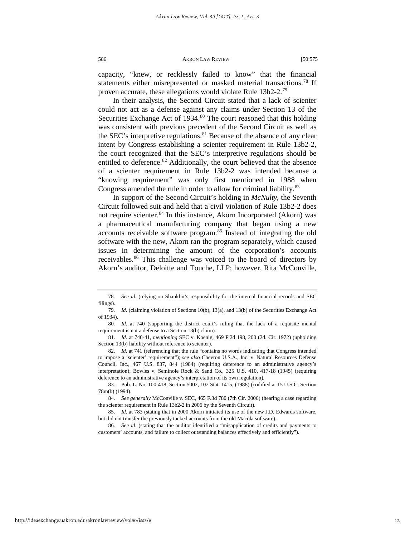capacity, "knew, or recklessly failed to know" that the financial statements either misrepresented or masked material transactions.<sup>[78](#page-12-0)</sup> If proven accurate, these allegations would violate Rule 13b2-2.<sup>[79](#page-12-1)</sup>

In their analysis, the Second Circuit stated that a lack of scienter could not act as a defense against any claims under Section 13 of the Securities Exchange Act of 1934.<sup>[80](#page-12-2)</sup> The court reasoned that this holding was consistent with previous precedent of the Second Circuit as well as the SEC's interpretive regulations. <sup>[81](#page-12-3)</sup> Because of the absence of any clear intent by Congress establishing a scienter requirement in Rule 13b2-2, the court recognized that the SEC's interpretive regulations should be entitled to deference.<sup>82</sup> Additionally, the court believed that the absence of a scienter requirement in Rule 13b2-2 was intended because a "knowing requirement" was only first mentioned in 1988 when Congress amended the rule in order to allow for criminal liability.<sup>[83](#page-12-5)</sup>

In support of the Second Circuit's holding in *McNulty*, the Seventh Circuit followed suit and held that a civil violation of Rule 13b2-2 does not require scienter.<sup>[84](#page-12-6)</sup> In this instance, Akorn Incorporated (Akorn) was a pharmaceutical manufacturing company that began using a new accounts receivable software program.[85](#page-12-7) Instead of integrating the old software with the new, Akorn ran the program separately, which caused issues in determining the amount of the corporation's accounts receivables.<sup>[86](#page-12-8)</sup> This challenge was voiced to the board of directors by Akorn's auditor, Deloitte and Touche, LLP; however, Rita McConville,

<span id="page-12-0"></span><sup>78</sup>*. See id*. (relying on Shanklin's responsibility for the internal financial records and SEC filings).

<span id="page-12-1"></span><sup>79</sup>*. Id*. (claiming violation of Sections 10(b), 13(a), and 13(b) of the Securities Exchange Act of 1934).

<span id="page-12-2"></span><sup>80</sup>*. Id*. at 740 (supporting the district court's ruling that the lack of a requisite mental requirement is not a defense to a Section 13(b) claim).

<span id="page-12-3"></span><sup>81</sup>*. Id*. at 740-41, *mentioning* SEC v. Koenig, 469 F.2d 198, 200 (2d. Cir. 1972) (upholding Section 13(b) liability without reference to scienter).

<span id="page-12-4"></span><sup>82</sup>*. Id*. at 741 (referencing that the rule "contains no words indicating that Congress intended to impose a 'scienter' requirement"); *see also* Chevron U.S.A., Inc. v. Natural Resources Defense Council, Inc., 467 U.S. 837, 844 (1984) (requiring deference to an administrative agency's interpretation); Bowles v. Seminole Rock & Sand Co., 325 U.S. 410, 417-18 (1945) (requiring deference to an administrative agency's interpretation of its own regulation).

<span id="page-12-5"></span><sup>83.</sup> Pub. L. No. 100-418, Section 5002, 102 Stat. 1415, (1988) (codified at 15 U.S.C. Section 78m(b) (1994).

<span id="page-12-6"></span><sup>84</sup>*. See generally* McConville v. SEC, 465 F.3d 780 (7th Cir. 2006) (hearing a case regarding the scienter requirement in Rule 13b2-2 in 2006 by the Seventh Circuit).

<span id="page-12-7"></span><sup>85</sup>*. Id*. at 783 (stating that in 2000 Akorn initiated its use of the new J.D. Edwards software, but did not transfer the previously tacked accounts from the old Macola software).

<span id="page-12-8"></span><sup>86</sup>*. See id*. (stating that the auditor identified a "misapplication of credits and payments to customers' accounts, and failure to collect outstanding balances effectively and efficiently").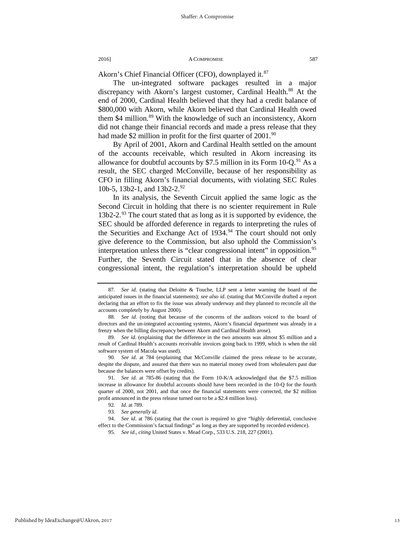Akorn's Chief Financial Officer (CFO), downplayed it.<sup>[87](#page-13-0)</sup>

The un-integrated software packages resulted in a major discrepancy with Akorn's largest customer, Cardinal Health.<sup>[88](#page-13-1)</sup> At the end of 2000, Cardinal Health believed that they had a credit balance of \$800,000 with Akorn, while Akorn believed that Cardinal Health owed them \$4 million.<sup>[89](#page-13-2)</sup> With the knowledge of such an inconsistency, Akorn did not change their financial records and made a press release that they had made \$2 million in profit for the first quarter of  $2001.^{90}$  $2001.^{90}$  $2001.^{90}$ 

By April of 2001, Akorn and Cardinal Health settled on the amount of the accounts receivable, which resulted in Akorn increasing its allowance for doubtful accounts by \$7.5 million in its Form  $10\text{-}Q^{91}$  $10\text{-}Q^{91}$  $10\text{-}Q^{91}$  As a result, the SEC charged McConville, because of her responsibility as CFO in filling Akorn's financial documents, with violating SEC Rules 10b-5, 13b2-1, and 13b2-2.[92](#page-13-5)

In its analysis, the Seventh Circuit applied the same logic as the Second Circuit in holding that there is no scienter requirement in Rule  $13b2-2.^{93}$  $13b2-2.^{93}$  $13b2-2.^{93}$  The court stated that as long as it is supported by evidence, the SEC should be afforded deference in regards to interpreting the rules of the Securities and Exchange Act of 1934.<sup>[94](#page-13-7)</sup> The court should not only give deference to the Commission, but also uphold the Commission's interpretation unless there is "clear congressional intent" in opposition.<sup>[95](#page-13-8)</sup> Further, the Seventh Circuit stated that in the absence of clear congressional intent, the regulation's interpretation should be upheld

<span id="page-13-0"></span><sup>87</sup>*. See id*. (stating that Deloitte & Touche, LLP sent a letter warning the board of the anticipated issues in the financial statements); *see also id*. (stating that McConville drafted a report declaring that an effort to fix the issue was already underway and they planned to reconcile all the accounts completely by August 2000).

<span id="page-13-1"></span><sup>88</sup>*. See id*. (noting that because of the concerns of the auditors voiced to the board of directors and the un-integrated accounting systems, Akorn's financial department was already in a frenzy when the billing discrepancy between Akorn and Cardinal Health arose).

<span id="page-13-2"></span><sup>89</sup>*. See id*. (explaining that the difference in the two amounts was almost \$5 million and a result of Cardinal Health's accounts receivable invoices going back to 1999, which is when the old software system of Macola was used).

<span id="page-13-3"></span><sup>90</sup>*. See id*. at 784 (explaining that McConville claimed the press release to be accurate, despite the dispute, and assured that there was no material money owed from wholesalers past due because the balances were offset by credits).

<span id="page-13-4"></span><sup>91</sup>*. See id*. at 785-86 (stating that the Form 10-K/A acknowledged that the \$7.5 million increase in allowance for doubtful accounts should have been recorded in the 10-Q for the fourth quarter of 2000, not 2001, and that once the financial statements were corrected, the \$2 million profit announced in the press release turned out to be a \$2.4 million loss).

<sup>92</sup>*. Id*. at 789.

<sup>93</sup>*. See generally id*.

<span id="page-13-8"></span><span id="page-13-7"></span><span id="page-13-6"></span><span id="page-13-5"></span><sup>94.</sup> *See id*. at 786 (stating that the court is required to give "highly deferential, conclusive effect to the Commission's factual findings" as long as they are supported by recorded evidence).

<sup>95</sup>*. See id*., *citing* United States v. Mead Corp., 533 U.S. 218, 227 (2001).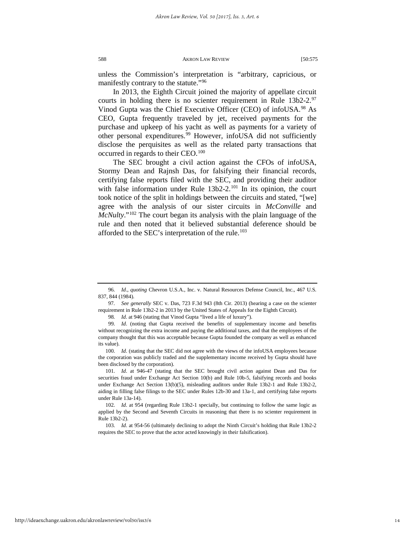unless the Commission's interpretation is "arbitrary, capricious, or manifestly contrary to the statute."<sup>[96](#page-14-0)</sup>

In 2013, the Eighth Circuit joined the majority of appellate circuit courts in holding there is no scienter requirement in Rule 13b2-2.[97](#page-14-1) Vinod Gupta was the Chief Executive Officer (CEO) of infoUSA.<sup>[98](#page-14-2)</sup> As CEO, Gupta frequently traveled by jet, received payments for the purchase and upkeep of his yacht as well as payments for a variety of other personal expenditures.<sup>[99](#page-14-3)</sup> However, infoUSA did not sufficiently disclose the perquisites as well as the related party transactions that occurred in regards to their CEO.[100](#page-14-4)

The SEC brought a civil action against the CFOs of infoUSA, Stormy Dean and Rajnsh Das, for falsifying their financial records, certifying false reports filed with the SEC, and providing their auditor with false information under Rule  $13b2-2$ .<sup>[101](#page-14-5)</sup> In its opinion, the court took notice of the split in holdings between the circuits and stated, "[we] agree with the analysis of our sister circuits in *McConville* and *McNulty*."<sup>[102](#page-14-6)</sup> The court began its analysis with the plain language of the rule and then noted that it believed substantial deference should be afforded to the SEC's interpretation of the rule.<sup>[103](#page-14-7)</sup>

<span id="page-14-0"></span><sup>96</sup>*. Id*., *quoting* Chevron U.S.A., Inc. v. Natural Resources Defense Council, Inc., 467 U.S. 837, 844 (1984).

<span id="page-14-1"></span><sup>97</sup>*. See generally* SEC v. Das, 723 F.3d 943 (8th Cir. 2013) (hearing a case on the scienter requirement in Rule 13b2-2 in 2013 by the United States of Appeals for the Eighth Circuit).

<sup>98</sup>*. Id*. at 946 (stating that Vinod Gupta "lived a life of luxury").

<span id="page-14-3"></span><span id="page-14-2"></span><sup>99</sup>*. Id*. (noting that Gupta received the benefits of supplementary income and benefits without recognizing the extra income and paying the additional taxes, and that the employees of the company thought that this was acceptable because Gupta founded the company as well as enhanced its value).

<span id="page-14-4"></span><sup>100.</sup> *Id.* (stating that the SEC did not agree with the views of the infoUSA employees because the corporation was publicly traded and the supplementary income received by Gupta should have been disclosed by the corporation).

<span id="page-14-5"></span><sup>101</sup>*. Id*. at 946-47 (stating that the SEC brought civil action against Dean and Das for securities fraud under Exchange Act Section 10(b) and Rule 10b-5, falsifying records and books under Exchange Act Section 13(b)(5), misleading auditors under Rule 13b2-1 and Rule 13b2-2, aiding in filling false filings to the SEC under Rules 12b-30 and 13a-1, and certifying false reports under Rule 13a-14).

<span id="page-14-6"></span><sup>102</sup>*. Id*. at 954 (regarding Rule 13b2-1 specially, but continuing to follow the same logic as applied by the Second and Seventh Circuits in reasoning that there is no scienter requirement in Rule 13b2-2).

<span id="page-14-7"></span><sup>103</sup>*. Id*. at 954-56 (ultimately declining to adopt the Ninth Circuit's holding that Rule 13b2-2 requires the SEC to prove that the actor acted knowingly in their falsification).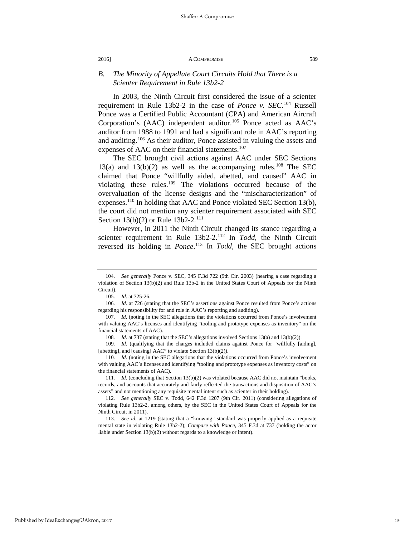## *B. The Minority of Appellate Court Circuits Hold that There is a Scienter Requirement in Rule 13b2-2*

In 2003, the Ninth Circuit first considered the issue of a scienter requirement in Rule 13b2-2 in the case of *Ponce v. SEC*. [104](#page-15-0) Russell Ponce was a Certified Public Accountant (CPA) and American Aircraft Corporation's (AAC) independent auditor.<sup>105</sup> Ponce acted as AAC's auditor from 1988 to 1991 and had a significant role in AAC's reporting and auditing.<sup>[106](#page-15-2)</sup> As their auditor, Ponce assisted in valuing the assets and expenses of AAC on their financial statements.<sup>[107](#page-15-3)</sup>

The SEC brought civil actions against AAC under SEC Sections 13(a) and 13(b)(2) as well as the accompanying rules.<sup>108</sup> The SEC claimed that Ponce "willfully aided, abetted, and caused" AAC in violating these rules.<sup>[109](#page-15-5)</sup> The violations occurred because of the overvaluation of the license designs and the "mischaracterization" of expenses.[110](#page-15-6) In holding that AAC and Ponce violated SEC Section 13(b), the court did not mention any scienter requirement associated with SEC Section 13(b)(2) or Rule 13b2-2.<sup>[111](#page-15-7)</sup>

However, in 2011 the Ninth Circuit changed its stance regarding a scienter requirement in Rule 13b2-2.<sup>[112](#page-15-8)</sup> In *Todd*, the Ninth Circuit reversed its holding in *Ponce*. [113](#page-15-9) In *Todd*, the SEC brought actions

<span id="page-15-5"></span><span id="page-15-4"></span>109*. Id*. (qualifying that the charges included claims against Ponce for "willfully [aiding], [abetting], and [causing] AAC" to violate Section 13(b)(2)).

<span id="page-15-0"></span><sup>104</sup>*. See generally* Ponce v. SEC, 345 F.3d 722 (9th Cir. 2003) (hearing a case regarding a violation of Section 13(b)(2) and Rule 13b-2 in the United States Court of Appeals for the Ninth Circuit).

<sup>105</sup>*. Id*. at 725-26.

<span id="page-15-2"></span><span id="page-15-1"></span><sup>106</sup>*. Id*. at 726 (stating that the SEC's assertions against Ponce resulted from Ponce's actions regarding his responsibility for and role in AAC's reporting and auditing).

<span id="page-15-3"></span><sup>107</sup>*. Id*. (noting in the SEC allegations that the violations occurred from Ponce's involvement with valuing AAC's licenses and identifying "tooling and prototype expenses as inventory" on the financial statements of AAC).

<sup>108</sup>*. Id*. at 737 (stating that the SEC's allegations involved Sections 13(a) and 13(b)(2)).

<span id="page-15-6"></span><sup>110</sup>*. Id*. (noting in the SEC allegations that the violations occurred from Ponce's involvement with valuing AAC's licenses and identifying "tooling and prototype expenses as inventory costs" on the financial statements of AAC).

<span id="page-15-7"></span><sup>111</sup>*. Id*. (concluding that Section 13(b)(2) was violated because AAC did not maintain "books, records, and accounts that accurately and fairly reflected the transactions and disposition of AAC's assets" and not mentioning any requisite mental intent such as scienter in their holding).

<span id="page-15-8"></span><sup>112</sup>*. See generally* SEC v. Todd, 642 F.3d 1207 (9th Cir. 2011) (considering allegations of violating Rule 13b2-2, among others, by the SEC in the United States Court of Appeals for the Ninth Circuit in 2011).

<span id="page-15-9"></span><sup>113</sup>*. See id*. at 1219 (stating that a "knowing" standard was properly applied as a requisite mental state in violating Rule 13b2-2); *Compare with Ponce*, 345 F.3d at 737 (holding the actor liable under Section 13(b)(2) without regards to a knowledge or intent).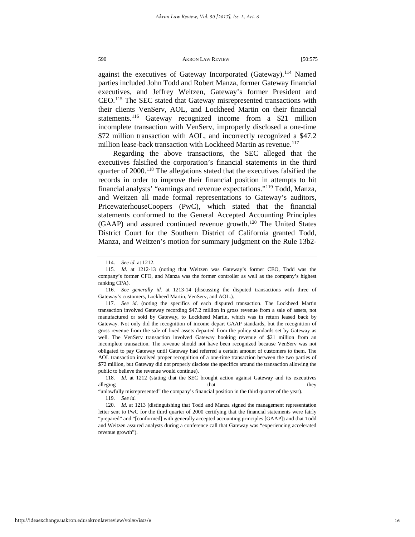against the executives of Gateway Incorporated (Gateway).[114](#page-16-0) Named parties included John Todd and Robert Manza, former Gateway financial executives, and Jeffrey Weitzen, Gateway's former President and CEO.[115](#page-16-1) The SEC stated that Gateway misrepresented transactions with their clients VenServ, AOL, and Lockheed Martin on their financial statements.[116](#page-16-2) Gateway recognized income from a \$21 million incomplete transaction with VenServ, improperly disclosed a one-time \$72 million transaction with AOL, and incorrectly recognized a \$47.2 million lease-back transaction with Lockheed Martin as revenue.<sup>[117](#page-16-3)</sup>

Regarding the above transactions, the SEC alleged that the executives falsified the corporation's financial statements in the third quarter of  $2000$ .<sup>118</sup> The allegations stated that the executives falsified the records in order to improve their financial position in attempts to hit financial analysts' "earnings and revenue expectations."[119](#page-16-5) Todd, Manza, and Weitzen all made formal representations to Gateway's auditors, PricewaterhouseCoopers (PwC), which stated that the financial statements conformed to the General Accepted Accounting Principles (GAAP) and assured continued revenue growth[.120](#page-16-6) The United States District Court for the Southern District of California granted Todd, Manza, and Weitzen's motion for summary judgment on the Rule 13b2-

<sup>114</sup>*. See id*. at 1212.

<span id="page-16-1"></span><span id="page-16-0"></span><sup>115</sup>*. Id*. at 1212-13 (noting that Weitzen was Gateway's former CEO, Todd was the company's former CFO, and Manza was the former controller as well as the company's highest ranking CPA).

<span id="page-16-2"></span><sup>116</sup>*. See generally id*. at 1213-14 (discussing the disputed transactions with three of Gateway's customers, Lockheed Martin, VenServ, and AOL.).

<span id="page-16-3"></span><sup>117</sup>*. See id*. (noting the specifics of each disputed transaction. The Lockheed Martin transaction involved Gateway recording \$47.2 million in gross revenue from a sale of assets, not manufactured or sold by Gateway, to Lockheed Martin, which was in return leased back by Gateway. Not only did the recognition of income depart GAAP standards, but the recognition of gross revenue from the sale of fixed assets departed from the policy standards set by Gateway as well. The VenServ transaction involved Gateway booking revenue of \$21 million from an incomplete transaction. The revenue should not have been recognized because VenServ was not obligated to pay Gateway until Gateway had referred a certain amount of customers to them. The AOL transaction involved proper recognition of a one-time transaction between the two parties of \$72 million, but Gateway did not properly disclose the specifics around the transaction allowing the public to believe the revenue would continue).

<span id="page-16-4"></span><sup>118</sup>*. Id*. at 1212 (stating that the SEC brought action against Gateway and its executives alleging that they have the they have the they have the they have the they have the they have the the the the

<sup>&</sup>quot;unlawfully misrepresented" the company's financial position in the third quarter of the year). 119*. See id*.

<span id="page-16-6"></span><span id="page-16-5"></span><sup>120</sup>*. Id*. at 1213 (distinguishing that Todd and Manza signed the management representation letter sent to PwC for the third quarter of 2000 certifying that the financial statements were fairly "prepared" and "[conformed] with generally accepted accounting principles [GAAP]) and that Todd and Weitzen assured analysts during a conference call that Gateway was "experiencing accelerated revenue growth").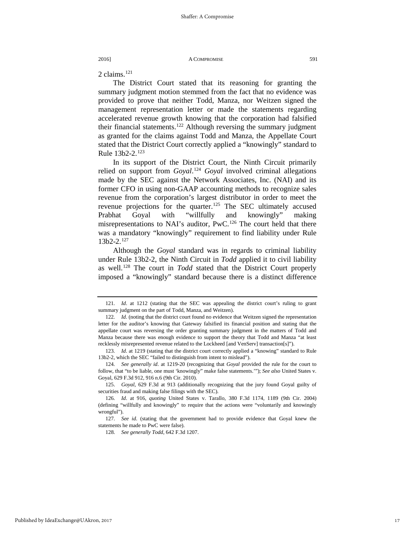2 claims.<sup>[121](#page-17-0)</sup>

The District Court stated that its reasoning for granting the summary judgment motion stemmed from the fact that no evidence was provided to prove that neither Todd, Manza, nor Weitzen signed the management representation letter or made the statements regarding accelerated revenue growth knowing that the corporation had falsified their financial statements.<sup>122</sup> Although reversing the summary judgment as granted for the claims against Todd and Manza, the Appellate Court stated that the District Court correctly applied a "knowingly" standard to Rule 13b2-2.[123](#page-17-2)

In its support of the District Court, the Ninth Circuit primarily relied on support from *Goyal*. [124](#page-17-3) *Goyal* involved criminal allegations made by the SEC against the Network Associates, Inc. (NAI) and its former CFO in using non-GAAP accounting methods to recognize sales revenue from the corporation's largest distributor in order to meet the revenue projections for the quarter.[125](#page-17-4) The SEC ultimately accused Prabhat Goyal with "willfully and knowingly" making misrepresentations to NAI's auditor, PwC.<sup>[126](#page-17-5)</sup> The court held that there was a mandatory "knowingly" requirement to find liability under Rule 13b2-2.[127](#page-17-6)

Although the *Goyal* standard was in regards to criminal liability under Rule 13b2-2, the Ninth Circuit in *Todd* applied it to civil liability as well.<sup>[128](#page-17-7)</sup> The court in *Todd* stated that the District Court properly imposed a "knowingly" standard because there is a distinct difference

<span id="page-17-0"></span><sup>121</sup>*. Id*. at 1212 (stating that the SEC was appealing the district court's ruling to grant summary judgment on the part of Todd, Manza, and Weitzen).

<span id="page-17-1"></span><sup>122</sup>*. Id*. (noting that the district court found no evidence that Weitzen signed the representation letter for the auditor's knowing that Gateway falsified its financial position and stating that the appellate court was reversing the order granting summary judgment in the matters of Todd and Manza because there was enough evidence to support the theory that Todd and Manza "at least recklessly misrepresented revenue related to the Lockheed [and VenServ] transaction[s]").

<span id="page-17-2"></span><sup>123</sup>*. Id*. at 1219 (stating that the district court correctly applied a "knowing" standard to Rule 13b2-2, which the SEC "failed to distinguish from intent to mislead").

<span id="page-17-3"></span><sup>124</sup>*. See generally id*. at 1219-20 (recognizing that *Goyal* provided the rule for the court to follow, that "to be liable, one must 'knowingly" make false statements.'"); *See also* United States v. Goyal, 629 F.3d 912, 916 n.6 (9th Cir. 2010).

<span id="page-17-4"></span><sup>125.</sup> *Goyal*, 629 F.3d at 913 (additionally recognizing that the jury found Goyal guilty of securities fraud and making false filings with the SEC).

<span id="page-17-5"></span><sup>126</sup>*. Id*. at 916, *quoting* United States v. Tarallo, 380 F.3d 1174, 1189 (9th Cir. 2004) (defining "willfully and knowingly" to require that the actions were "voluntarily and knowingly wrongful").

<span id="page-17-7"></span><span id="page-17-6"></span><sup>127</sup>*. See id*. (stating that the government had to provide evidence that Goyal knew the statements he made to PwC were false).

<sup>128</sup>*. See generally Todd*, 642 F.3d 1207.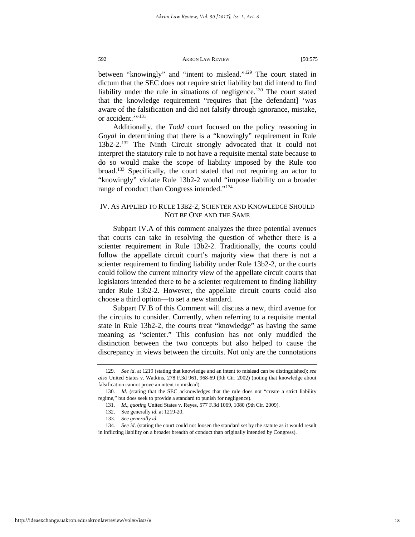between "knowingly" and "intent to mislead."<sup>129</sup> The court stated in dictum that the SEC does not require strict liability but did intend to find liability under the rule in situations of negligence.<sup>[130](#page-18-1)</sup> The court stated that the knowledge requirement "requires that [the defendant] 'was aware of the falsification and did not falsify through ignorance, mistake, or accident."<sup>[131](#page-18-2)</sup>

Additionally, the *Todd* court focused on the policy reasoning in *Goyal* in determining that there is a "knowingly" requirement in Rule 13b2-2.[132](#page-18-3) The Ninth Circuit strongly advocated that it could not interpret the statutory rule to not have a requisite mental state because to do so would make the scope of liability imposed by the Rule too broad.[133](#page-18-4) Specifically, the court stated that not requiring an actor to "knowingly" violate Rule 13b2-2 would "impose liability on a broader range of conduct than Congress intended."<sup>[134](#page-18-5)</sup>

## IV. AS APPLIED TO RULE 13B2-2, SCIENTER AND KNOWLEDGE SHOULD NOT BE ONE AND THE SAME

Subpart IV.A of this comment analyzes the three potential avenues that courts can take in resolving the question of whether there is a scienter requirement in Rule 13b2-2. Traditionally, the courts could follow the appellate circuit court's majority view that there is not a scienter requirement to finding liability under Rule 13b2-2, or the courts could follow the current minority view of the appellate circuit courts that legislators intended there to be a scienter requirement to finding liability under Rule 13b2-2. However, the appellate circuit courts could also choose a third option—to set a new standard.

Subpart IV.B of this Comment will discuss a new, third avenue for the circuits to consider. Currently, when referring to a requisite mental state in Rule 13b2-2, the courts treat "knowledge" as having the same meaning as "scienter." This confusion has not only muddled the distinction between the two concepts but also helped to cause the discrepancy in views between the circuits. Not only are the connotations

<span id="page-18-0"></span><sup>129</sup>*. See id*. at 1219 (stating that knowledge and an intent to mislead can be distinguished); *see also* United States v. Watkins, 278 F.3d 961, 968-69 (9th Cir. 2002) (noting that knowledge about falsification cannot prove an intent to mislead).

<span id="page-18-2"></span><span id="page-18-1"></span><sup>130.</sup> *Id.* (stating that the SEC acknowledges that the rule does not "create a strict liability regime," but does seek to provide a standard to punish for negligence).

<sup>131</sup>*. Id*., *quoting* United States v. Reyes, 577 F.3d 1069, 1080 (9th Cir. 2009).

<sup>132.</sup> See generally *id*. at 1219-20.

<sup>133</sup>*. See generally id.*

<span id="page-18-5"></span><span id="page-18-4"></span><span id="page-18-3"></span><sup>134</sup>*. See id*. (stating the court could not loosen the standard set by the statute as it would result in inflicting liability on a broader breadth of conduct than originally intended by Congress).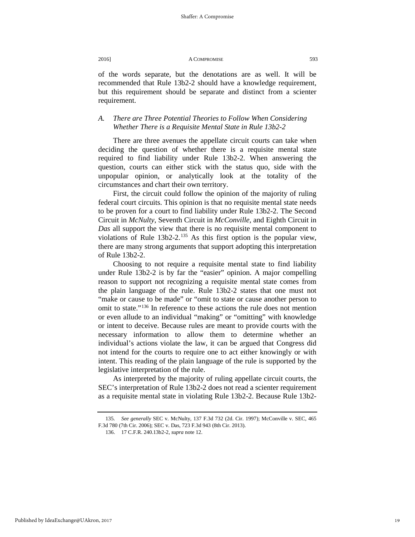of the words separate, but the denotations are as well. It will be recommended that Rule 13b2-2 should have a knowledge requirement, but this requirement should be separate and distinct from a scienter requirement.

## *A. There are Three Potential Theories to Follow When Considering Whether There is a Requisite Mental State in Rule 13b2-2*

There are three avenues the appellate circuit courts can take when deciding the question of whether there is a requisite mental state required to find liability under Rule 13b2-2. When answering the question, courts can either stick with the status quo, side with the unpopular opinion, or analytically look at the totality of the circumstances and chart their own territory.

First, the circuit could follow the opinion of the majority of ruling federal court circuits. This opinion is that no requisite mental state needs to be proven for a court to find liability under Rule 13b2-2. The Second Circuit in *McNulty*, Seventh Circuit in *McConville*, and Eighth Circuit in *Das* all support the view that there is no requisite mental component to violations of Rule  $13b2-2$ .<sup>[135](#page-19-0)</sup> As this first option is the popular view, there are many strong arguments that support adopting this interpretation of Rule 13b2-2.

Choosing to not require a requisite mental state to find liability under Rule 13b2-2 is by far the "easier" opinion. A major compelling reason to support not recognizing a requisite mental state comes from the plain language of the rule. Rule 13b2-2 states that one must not "make or cause to be made" or "omit to state or cause another person to omit to state."[136](#page-19-1) In reference to these actions the rule does not mention or even allude to an individual "making" or "omitting" with knowledge or intent to deceive. Because rules are meant to provide courts with the necessary information to allow them to determine whether an individual's actions violate the law, it can be argued that Congress did not intend for the courts to require one to act either knowingly or with intent. This reading of the plain language of the rule is supported by the legislative interpretation of the rule.

As interpreted by the majority of ruling appellate circuit courts, the SEC's interpretation of Rule 13b2-2 does not read a scienter requirement as a requisite mental state in violating Rule 13b2-2. Because Rule 13b2-

<span id="page-19-1"></span><span id="page-19-0"></span><sup>135</sup>*. See generally* SEC v. McNulty, 137 F.3d 732 (2d. Cir. 1997); McConville v. SEC, 465 F.3d 780 (7th Cir. 2006); SEC v. Das, 723 F.3d 943 (8th Cir. 2013).

<sup>136.</sup> 17 C.F.R. 240.13b2-2, *supra* note 12.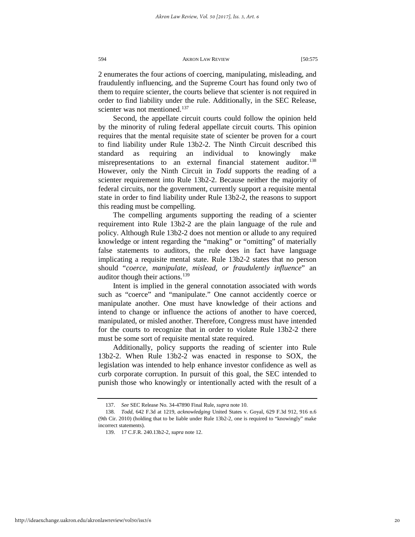2 enumerates the four actions of coercing, manipulating, misleading, and fraudulently influencing, and the Supreme Court has found only two of them to require scienter, the courts believe that scienter is not required in order to find liability under the rule. Additionally, in the SEC Release, scienter was not mentioned.<sup>[137](#page-20-0)</sup>

Second, the appellate circuit courts could follow the opinion held by the minority of ruling federal appellate circuit courts. This opinion requires that the mental requisite state of scienter be proven for a court to find liability under Rule 13b2-2. The Ninth Circuit described this standard as requiring an individual to knowingly make misrepresentations to an external financial statement auditor.<sup>138</sup> However, only the Ninth Circuit in *Todd* supports the reading of a scienter requirement into Rule 13b2-2. Because neither the majority of federal circuits, nor the government, currently support a requisite mental state in order to find liability under Rule 13b2-2, the reasons to support this reading must be compelling.

The compelling arguments supporting the reading of a scienter requirement into Rule 13b2-2 are the plain language of the rule and policy. Although Rule 13b2-2 does not mention or allude to any required knowledge or intent regarding the "making" or "omitting" of materially false statements to auditors, the rule does in fact have language implicating a requisite mental state. Rule 13b2-2 states that no person should "*coerce, manipulate, mislead, or fraudulently influence*" an auditor though their actions. $139$ 

Intent is implied in the general connotation associated with words such as "coerce" and "manipulate." One cannot accidently coerce or manipulate another. One must have knowledge of their actions and intend to change or influence the actions of another to have coerced, manipulated, or misled another. Therefore, Congress must have intended for the courts to recognize that in order to violate Rule 13b2-2 there must be some sort of requisite mental state required.

Additionally, policy supports the reading of scienter into Rule 13b2-2. When Rule 13b2-2 was enacted in response to SOX, the legislation was intended to help enhance investor confidence as well as curb corporate corruption. In pursuit of this goal, the SEC intended to punish those who knowingly or intentionally acted with the result of a

<sup>137.</sup> *See* SEC Release No. 34-47890 Final Rule, *supra* note 10.

<span id="page-20-2"></span><span id="page-20-1"></span><span id="page-20-0"></span><sup>138</sup>*. Todd,* 642 F.3d at 1219, *acknowledging* United States v. Goyal, 629 F.3d 912, 916 n.6 (9th Cir. 2010) (holding that to be liable under Rule 13b2-2, one is required to "knowingly" make incorrect statements).

<sup>139.</sup> 17 C.F.R. 240.13b2-2, *supra* note 12.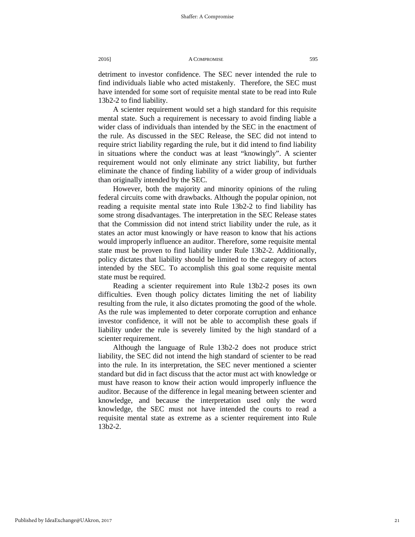detriment to investor confidence. The SEC never intended the rule to find individuals liable who acted mistakenly. Therefore, the SEC must have intended for some sort of requisite mental state to be read into Rule 13b2-2 to find liability.

A scienter requirement would set a high standard for this requisite mental state. Such a requirement is necessary to avoid finding liable a wider class of individuals than intended by the SEC in the enactment of the rule. As discussed in the SEC Release, the SEC did not intend to require strict liability regarding the rule, but it did intend to find liability in situations where the conduct was at least "knowingly". A scienter requirement would not only eliminate any strict liability, but further eliminate the chance of finding liability of a wider group of individuals than originally intended by the SEC.

However, both the majority and minority opinions of the ruling federal circuits come with drawbacks. Although the popular opinion, not reading a requisite mental state into Rule 13b2-2 to find liability has some strong disadvantages. The interpretation in the SEC Release states that the Commission did not intend strict liability under the rule, as it states an actor must knowingly or have reason to know that his actions would improperly influence an auditor. Therefore, some requisite mental state must be proven to find liability under Rule 13b2-2. Additionally, policy dictates that liability should be limited to the category of actors intended by the SEC. To accomplish this goal some requisite mental state must be required.

Reading a scienter requirement into Rule 13b2-2 poses its own difficulties. Even though policy dictates limiting the net of liability resulting from the rule, it also dictates promoting the good of the whole. As the rule was implemented to deter corporate corruption and enhance investor confidence, it will not be able to accomplish these goals if liability under the rule is severely limited by the high standard of a scienter requirement.

Although the language of Rule 13b2-2 does not produce strict liability, the SEC did not intend the high standard of scienter to be read into the rule. In its interpretation, the SEC never mentioned a scienter standard but did in fact discuss that the actor must act with knowledge or must have reason to know their action would improperly influence the auditor. Because of the difference in legal meaning between scienter and knowledge, and because the interpretation used only the word knowledge, the SEC must not have intended the courts to read a requisite mental state as extreme as a scienter requirement into Rule 13b2-2.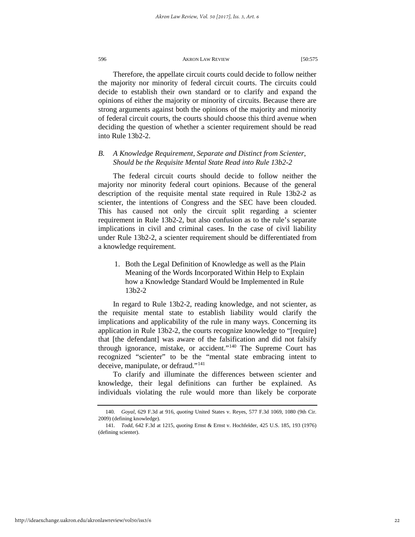Therefore, the appellate circuit courts could decide to follow neither the majority nor minority of federal circuit courts. The circuits could decide to establish their own standard or to clarify and expand the opinions of either the majority or minority of circuits. Because there are strong arguments against both the opinions of the majority and minority of federal circuit courts, the courts should choose this third avenue when deciding the question of whether a scienter requirement should be read into Rule 13b2-2.

## *B. A Knowledge Requirement, Separate and Distinct from Scienter, Should be the Requisite Mental State Read into Rule 13b2-2*

The federal circuit courts should decide to follow neither the majority nor minority federal court opinions. Because of the general description of the requisite mental state required in Rule 13b2-2 as scienter, the intentions of Congress and the SEC have been clouded. This has caused not only the circuit split regarding a scienter requirement in Rule 13b2-2, but also confusion as to the rule's separate implications in civil and criminal cases. In the case of civil liability under Rule 13b2-2, a scienter requirement should be differentiated from a knowledge requirement.

1. Both the Legal Definition of Knowledge as well as the Plain Meaning of the Words Incorporated Within Help to Explain how a Knowledge Standard Would be Implemented in Rule 13b2-2

In regard to Rule 13b2-2, reading knowledge, and not scienter, as the requisite mental state to establish liability would clarify the implications and applicability of the rule in many ways. Concerning its application in Rule 13b2-2, the courts recognize knowledge to "[require] that [the defendant] was aware of the falsification and did not falsify through ignorance, mistake, or accident."[140](#page-22-0) The Supreme Court has recognized "scienter" to be the "mental state embracing intent to deceive, manipulate, or defraud."[141](#page-22-1)

To clarify and illuminate the differences between scienter and knowledge, their legal definitions can further be explained. As individuals violating the rule would more than likely be corporate

<span id="page-22-0"></span><sup>140</sup>*. Goyal*, 629 F.3d at 916, *quoting* United States v. Reyes, 577 F.3d 1069, 1080 (9th Cir. 2009) (defining knowledge).

<span id="page-22-1"></span><sup>141</sup>*. Todd*, 642 F.3d at 1215, *quoting* Ernst & Ernst v. Hochfelder, 425 U.S. 185, 193 (1976) (defining scienter).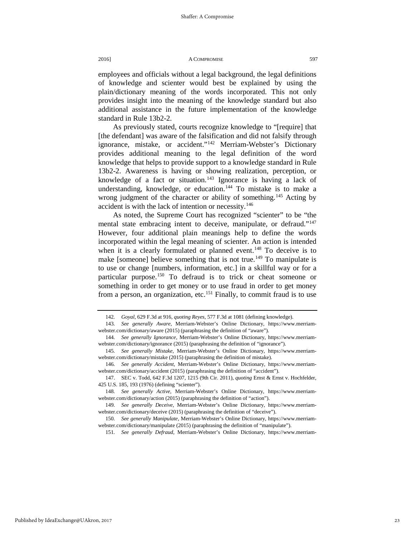employees and officials without a legal background, the legal definitions of knowledge and scienter would best be explained by using the plain/dictionary meaning of the words incorporated. This not only provides insight into the meaning of the knowledge standard but also additional assistance in the future implementation of the knowledge standard in Rule 13b2-2.

As previously stated, courts recognize knowledge to "[require] that [the defendant] was aware of the falsification and did not falsify through ignorance, mistake, or accident.["142](#page-23-0) Merriam-Webster's Dictionary provides additional meaning to the legal definition of the word knowledge that helps to provide support to a knowledge standard in Rule 13b2-2. Awareness is having or showing realization, perception, or knowledge of a fact or situation.<sup>143</sup> Ignorance is having a lack of understanding, knowledge, or education.<sup>[144](#page-23-2)</sup> To mistake is to make a wrong judgment of the character or ability of something.<sup>[145](#page-23-3)</sup> Acting by accident is with the lack of intention or necessity.<sup>[146](#page-23-4)</sup>

As noted, the Supreme Court has recognized "scienter" to be "the mental state embracing intent to deceive, manipulate, or defraud."<sup>147</sup> However, four additional plain meanings help to define the words incorporated within the legal meaning of scienter. An action is intended when it is a clearly formulated or planned event.<sup>148</sup> To deceive is to make [someone] believe something that is not true.<sup>[149](#page-23-7)</sup> To manipulate is to use or change [numbers, information, etc.] in a skillful way or for a particular purpose.[150](#page-23-8) To defraud is to trick or cheat someone or something in order to get money or to use fraud in order to get money from a person, an organization, etc.<sup>[151](#page-23-9)</sup> Finally, to commit fraud is to use

<sup>142</sup>*. Goyal*, 629 F.3d at 916, *quoting Reyes,* 577 F.3d at 1081 (defining knowledge).

<span id="page-23-1"></span><span id="page-23-0"></span><sup>143</sup>*. See generally Aware*, Merriam-Webster's Online Dictionary, https://www.merriamwebster.com/dictionary/aware (2015) (paraphrasing the definition of "aware").

<span id="page-23-2"></span><sup>144</sup>*. See generally Ignorance*, Merriam-Webster's Online Dictionary, https://www.merriamwebster.com/dictionary/ignorance (2015) (paraphrasing the definition of "ignorance").

<span id="page-23-3"></span><sup>145</sup>*. See generally Mistake*, Merriam-Webster's Online Dictionary, https://www.merriamwebster.com/dictionary/mistake (2015) (paraphrasing the definition of mistake).

<span id="page-23-4"></span><sup>146</sup>*. See generally Accident*, Merriam-Webster's Online Dictionary, https://www.merriamwebster.com/dictionary/accident (2015) (paraphrasing the definition of "accident").

<span id="page-23-5"></span><sup>147.</sup> SEC v. Todd, 642 F.3d 1207, 1215 (9th Cir. 2011), *quoting* Ernst & Ernst v. Hochfelder, 425 U.S. 185, 193 (1976) (defining "scienter").

<span id="page-23-6"></span><sup>148</sup>*. See generally Active*, Merriam-Webster's Online Dictionary, https://www.merriamwebster.com/dictionary/action (2015) (paraphrasing the definition of "action").

<span id="page-23-7"></span><sup>149</sup>*. See generally Deceive*, Merriam-Webster's Online Dictionary, https://www.merriamwebster.com/dictionary/deceive (2015) (paraphrasing the definition of "deceive").

<span id="page-23-9"></span><span id="page-23-8"></span><sup>150</sup>*. See generally Manipulate*, Merriam-Webster's Online Dictionary, https://www.merriamwebster.com/dictionary/manipulate (2015) (paraphrasing the definition of "manipulate").

<sup>151</sup>*. See generally Defraud*, Merriam-Webster's Online Dictionary, https://www.merriam-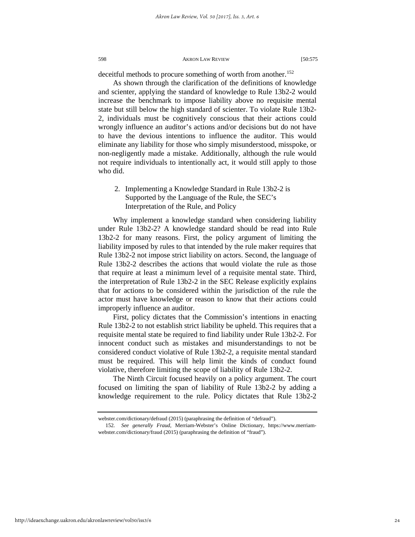deceitful methods to procure something of worth from another.<sup>[152](#page-24-0)</sup>

As shown through the clarification of the definitions of knowledge and scienter, applying the standard of knowledge to Rule 13b2-2 would increase the benchmark to impose liability above no requisite mental state but still below the high standard of scienter. To violate Rule 13b2- 2, individuals must be cognitively conscious that their actions could wrongly influence an auditor's actions and/or decisions but do not have to have the devious intentions to influence the auditor. This would eliminate any liability for those who simply misunderstood, misspoke, or non-negligently made a mistake. Additionally, although the rule would not require individuals to intentionally act, it would still apply to those who did.

## 2. Implementing a Knowledge Standard in Rule 13b2-2 is Supported by the Language of the Rule, the SEC's Interpretation of the Rule, and Policy

Why implement a knowledge standard when considering liability under Rule 13b2-2? A knowledge standard should be read into Rule 13b2-2 for many reasons. First, the policy argument of limiting the liability imposed by rules to that intended by the rule maker requires that Rule 13b2-2 not impose strict liability on actors. Second, the language of Rule 13b2-2 describes the actions that would violate the rule as those that require at least a minimum level of a requisite mental state. Third, the interpretation of Rule 13b2-2 in the SEC Release explicitly explains that for actions to be considered within the jurisdiction of the rule the actor must have knowledge or reason to know that their actions could improperly influence an auditor.

First, policy dictates that the Commission's intentions in enacting Rule 13b2-2 to not establish strict liability be upheld. This requires that a requisite mental state be required to find liability under Rule 13b2-2. For innocent conduct such as mistakes and misunderstandings to not be considered conduct violative of Rule 13b2-2, a requisite mental standard must be required. This will help limit the kinds of conduct found violative, therefore limiting the scope of liability of Rule 13b2-2.

The Ninth Circuit focused heavily on a policy argument. The court focused on limiting the span of liability of Rule 13b2-2 by adding a knowledge requirement to the rule. Policy dictates that Rule 13b2-2

<span id="page-24-0"></span>http://ideaexchange.uakron.edu/akronlawreview/vol50/iss3/6

webster.com/dictionary/defraud (2015) (paraphrasing the definition of "defraud").

<sup>152</sup>*. See generally Fraud*, Merriam-Webster's Online Dictionary, https://www.merriamwebster.com/dictionary/fraud (2015) (paraphrasing the definition of "fraud").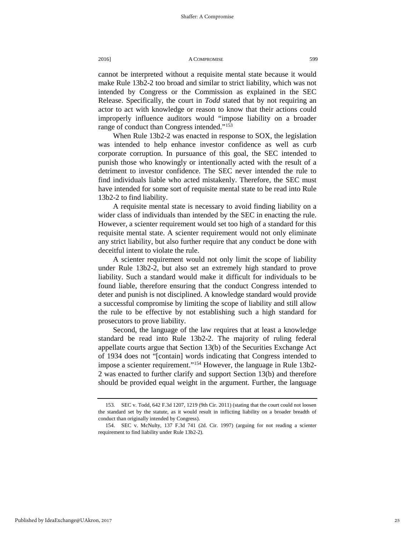cannot be interpreted without a requisite mental state because it would make Rule 13b2-2 too broad and similar to strict liability, which was not intended by Congress or the Commission as explained in the SEC Release. Specifically, the court in *Todd* stated that by not requiring an actor to act with knowledge or reason to know that their actions could improperly influence auditors would "impose liability on a broader range of conduct than Congress intended."<sup>[153](#page-25-0)</sup>

When Rule 13b2-2 was enacted in response to SOX, the legislation was intended to help enhance investor confidence as well as curb corporate corruption. In pursuance of this goal, the SEC intended to punish those who knowingly or intentionally acted with the result of a detriment to investor confidence. The SEC never intended the rule to find individuals liable who acted mistakenly. Therefore, the SEC must have intended for some sort of requisite mental state to be read into Rule 13b2-2 to find liability.

A requisite mental state is necessary to avoid finding liability on a wider class of individuals than intended by the SEC in enacting the rule. However, a scienter requirement would set too high of a standard for this requisite mental state. A scienter requirement would not only eliminate any strict liability, but also further require that any conduct be done with deceitful intent to violate the rule.

A scienter requirement would not only limit the scope of liability under Rule 13b2-2, but also set an extremely high standard to prove liability. Such a standard would make it difficult for individuals to be found liable, therefore ensuring that the conduct Congress intended to deter and punish is not disciplined. A knowledge standard would provide a successful compromise by limiting the scope of liability and still allow the rule to be effective by not establishing such a high standard for prosecutors to prove liability.

Second, the language of the law requires that at least a knowledge standard be read into Rule 13b2-2. The majority of ruling federal appellate courts argue that Section 13(b) of the Securities Exchange Act of 1934 does not "[contain] words indicating that Congress intended to impose a scienter requirement."[154](#page-25-1) However, the language in Rule 13b2- 2 was enacted to further clarify and support Section 13(b) and therefore should be provided equal weight in the argument. Further, the language

<span id="page-25-0"></span><sup>153</sup>*.* SEC v. Todd, 642 F.3d 1207, 1219 (9th Cir. 2011) (stating that the court could not loosen the standard set by the statute, as it would result in inflicting liability on a broader breadth of conduct than originally intended by Congress).

<span id="page-25-1"></span><sup>154.</sup> SEC v. McNulty, 137 F.3d 741 (2d. Cir. 1997) (arguing for not reading a scienter requirement to find liability under Rule 13b2-2).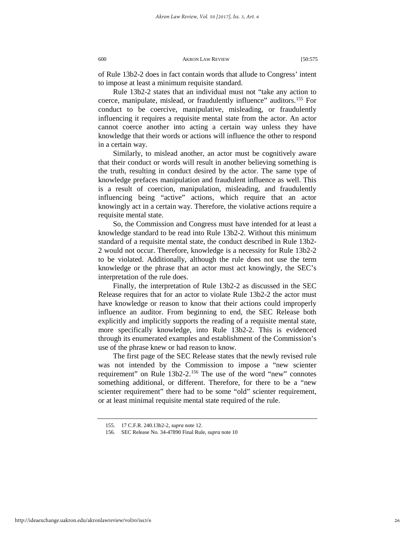of Rule 13b2-2 does in fact contain words that allude to Congress' intent to impose at least a minimum requisite standard.

Rule 13b2-2 states that an individual must not "take any action to coerce, manipulate, mislead, or fraudulently influence" auditors.[155](#page-26-0) For conduct to be coercive, manipulative, misleading, or fraudulently influencing it requires a requisite mental state from the actor. An actor cannot coerce another into acting a certain way unless they have knowledge that their words or actions will influence the other to respond in a certain way.

Similarly, to mislead another, an actor must be cognitively aware that their conduct or words will result in another believing something is the truth, resulting in conduct desired by the actor. The same type of knowledge prefaces manipulation and fraudulent influence as well. This is a result of coercion, manipulation, misleading, and fraudulently influencing being "active" actions, which require that an actor knowingly act in a certain way. Therefore, the violative actions require a requisite mental state.

So, the Commission and Congress must have intended for at least a knowledge standard to be read into Rule 13b2-2. Without this minimum standard of a requisite mental state, the conduct described in Rule 13b2- 2 would not occur. Therefore, knowledge is a necessity for Rule 13b2-2 to be violated. Additionally, although the rule does not use the term knowledge or the phrase that an actor must act knowingly, the SEC's interpretation of the rule does.

Finally, the interpretation of Rule 13b2-2 as discussed in the SEC Release requires that for an actor to violate Rule 13b2-2 the actor must have knowledge or reason to know that their actions could improperly influence an auditor. From beginning to end, the SEC Release both explicitly and implicitly supports the reading of a requisite mental state, more specifically knowledge, into Rule 13b2-2. This is evidenced through its enumerated examples and establishment of the Commission's use of the phrase knew or had reason to know.

The first page of the SEC Release states that the newly revised rule was not intended by the Commission to impose a "new scienter requirement" on Rule 13b2-2.<sup>[156](#page-26-1)</sup> The use of the word "new" connotes something additional, or different. Therefore, for there to be a "new scienter requirement" there had to be some "old" scienter requirement, or at least minimal requisite mental state required of the rule.

<span id="page-26-1"></span><span id="page-26-0"></span>http://ideaexchange.uakron.edu/akronlawreview/vol50/iss3/6

<sup>155.</sup> 17 C.F.R. 240.13b2-2, *supra* note 12.

<sup>156.</sup> SEC Release No. 34-47890 Final Rule, *supra* note 10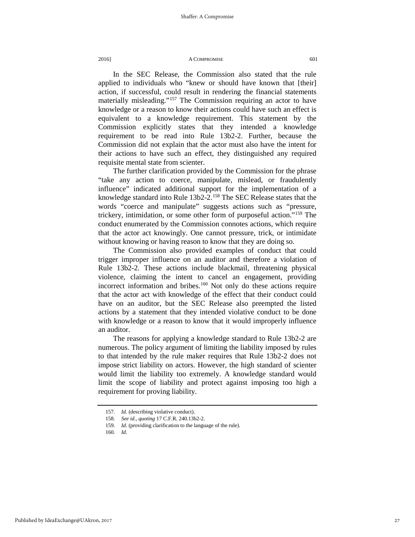In the SEC Release, the Commission also stated that the rule applied to individuals who "knew or should have known that [their] action, if successful, could result in rendering the financial statements materially misleading."<sup>[157](#page-27-0)</sup> The Commission requiring an actor to have knowledge or a reason to know their actions could have such an effect is equivalent to a knowledge requirement. This statement by the Commission explicitly states that they intended a knowledge requirement to be read into Rule 13b2-2. Further, because the Commission did not explain that the actor must also have the intent for their actions to have such an effect, they distinguished any required requisite mental state from scienter.

The further clarification provided by the Commission for the phrase "take any action to coerce, manipulate, mislead, or fraudulently influence" indicated additional support for the implementation of a knowledge standard into Rule 13b2-2.<sup>[158](#page-27-1)</sup> The SEC Release states that the words "coerce and manipulate" suggests actions such as "pressure, trickery, intimidation, or some other form of purposeful action."[159](#page-27-2) The conduct enumerated by the Commission connotes actions, which require that the actor act knowingly. One cannot pressure, trick, or intimidate without knowing or having reason to know that they are doing so.

The Commission also provided examples of conduct that could trigger improper influence on an auditor and therefore a violation of Rule 13b2-2. These actions include blackmail, threatening physical violence, claiming the intent to cancel an engagement, providing incorrect information and bribes.<sup>[160](#page-27-3)</sup> Not only do these actions require that the actor act with knowledge of the effect that their conduct could have on an auditor, but the SEC Release also preempted the listed actions by a statement that they intended violative conduct to be done with knowledge or a reason to know that it would improperly influence an auditor.

The reasons for applying a knowledge standard to Rule 13b2-2 are numerous. The policy argument of limiting the liability imposed by rules to that intended by the rule maker requires that Rule 13b2-2 does not impose strict liability on actors. However, the high standard of scienter would limit the liability too extremely. A knowledge standard would limit the scope of liability and protect against imposing too high a requirement for proving liability.

<span id="page-27-0"></span><sup>157</sup>*. Id.* (describing violative conduct).

<span id="page-27-1"></span><sup>158</sup>*. See id*., *quoting* 17 C.F.R. 240.13b2-2.

<sup>159</sup>*. Id.* (providing clarification to the language of the rule).

<span id="page-27-3"></span><span id="page-27-2"></span><sup>160</sup>*. Id.*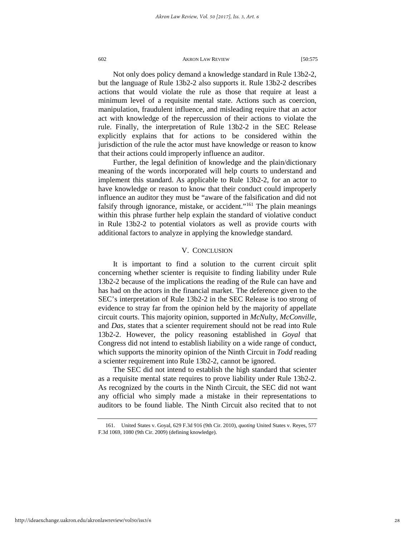Not only does policy demand a knowledge standard in Rule 13b2-2, but the language of Rule 13b2-2 also supports it. Rule 13b2-2 describes actions that would violate the rule as those that require at least a minimum level of a requisite mental state. Actions such as coercion, manipulation, fraudulent influence, and misleading require that an actor act with knowledge of the repercussion of their actions to violate the rule. Finally, the interpretation of Rule 13b2-2 in the SEC Release explicitly explains that for actions to be considered within the jurisdiction of the rule the actor must have knowledge or reason to know that their actions could improperly influence an auditor.

Further, the legal definition of knowledge and the plain/dictionary meaning of the words incorporated will help courts to understand and implement this standard. As applicable to Rule 13b2-2, for an actor to have knowledge or reason to know that their conduct could improperly influence an auditor they must be "aware of the falsification and did not falsify through ignorance, mistake, or accident."<sup>[161](#page-28-0)</sup> The plain meanings within this phrase further help explain the standard of violative conduct in Rule 13b2-2 to potential violators as well as provide courts with additional factors to analyze in applying the knowledge standard.

## V. CONCLUSION

It is important to find a solution to the current circuit split concerning whether scienter is requisite to finding liability under Rule 13b2-2 because of the implications the reading of the Rule can have and has had on the actors in the financial market. The deference given to the SEC's interpretation of Rule 13b2-2 in the SEC Release is too strong of evidence to stray far from the opinion held by the majority of appellate circuit courts. This majority opinion, supported in *McNulty*, *McConville*, and *Das,* states that a scienter requirement should not be read into Rule 13b2-2. However, the policy reasoning established in *Goyal* that Congress did not intend to establish liability on a wide range of conduct, which supports the minority opinion of the Ninth Circuit in *Todd* reading a scienter requirement into Rule 13b2-2, cannot be ignored.

The SEC did not intend to establish the high standard that scienter as a requisite mental state requires to prove liability under Rule 13b2-2. As recognized by the courts in the Ninth Circuit, the SEC did not want any official who simply made a mistake in their representations to auditors to be found liable. The Ninth Circuit also recited that to not

<span id="page-28-0"></span><sup>161.</sup> United States v. Goyal, 629 F.3d 916 (9th Cir. 2010), *quoting* United States v. Reyes, 577 F.3d 1069, 1080 (9th Cir. 2009) (defining knowledge).